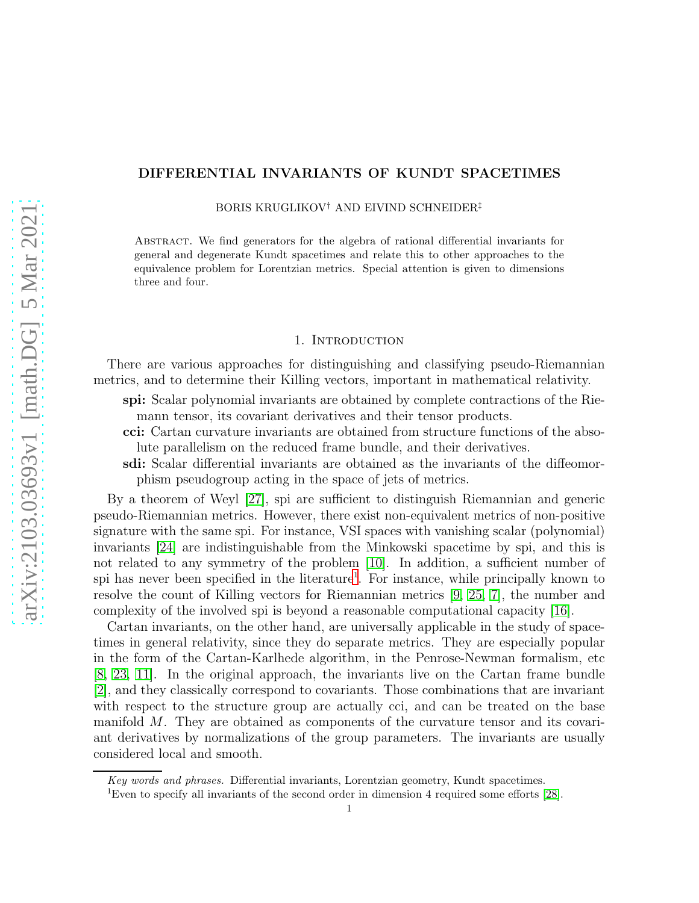# DIFFERENTIAL INVARIANTS OF KUNDT SPACETIMES

BORIS KRUGLIKOV† AND EIVIND SCHNEIDER‡

Abstract. We find generators for the algebra of rational differential invariants for general and degenerate Kundt spacetimes and relate this to other approaches to the equivalence problem for Lorentzian metrics. Special attention is given to dimensions three and four.

#### 1. INTRODUCTION

There are various approaches for distinguishing and classifying pseudo-Riemannian metrics, and to determine their Killing vectors, important in mathematical relativity.

spi: Scalar polynomial invariants are obtained by complete contractions of the Riemann tensor, its covariant derivatives and their tensor products.

cci: Cartan curvature invariants are obtained from structure functions of the absolute parallelism on the reduced frame bundle, and their derivatives.

sdi: Scalar differential invariants are obtained as the invariants of the diffeomorphism pseudogroup acting in the space of jets of metrics.

By a theorem of Weyl [\[27\]](#page-22-0), spi are sufficient to distinguish Riemannian and generic pseudo-Riemannian metrics. However, there exist non-equivalent metrics of non-positive signature with the same spi. For instance, VSI spaces with vanishing scalar (polynomial) invariants [\[24\]](#page-22-1) are indistinguishable from the Minkowski spacetime by spi, and this is not related to any symmetry of the problem [\[10\]](#page-22-2). In addition, a sufficient number of spi has never been specified in the literature<sup>[1](#page-0-0)</sup>. For instance, while principally known to resolve the count of Killing vectors for Riemannian metrics [\[9,](#page-22-3) [25,](#page-22-4) [7\]](#page-22-5), the number and complexity of the involved spi is beyond a reasonable computational capacity [\[16\]](#page-22-6).

Cartan invariants, on the other hand, are universally applicable in the study of spacetimes in general relativity, since they do separate metrics. They are especially popular in the form of the Cartan-Karlhede algorithm, in the Penrose-Newman formalism, etc [\[8,](#page-22-7) [23,](#page-22-8) [11\]](#page-22-9). In the original approach, the invariants live on the Cartan frame bundle [\[2\]](#page-21-0), and they classically correspond to covariants. Those combinations that are invariant with respect to the structure group are actually cci, and can be treated on the base manifold  $M$ . They are obtained as components of the curvature tensor and its covariant derivatives by normalizations of the group parameters. The invariants are usually considered local and smooth.

Key words and phrases. Differential invariants, Lorentzian geometry, Kundt spacetimes.

<span id="page-0-0"></span><sup>1</sup>Even to specify all invariants of the second order in dimension 4 required some efforts [\[28\]](#page-22-10).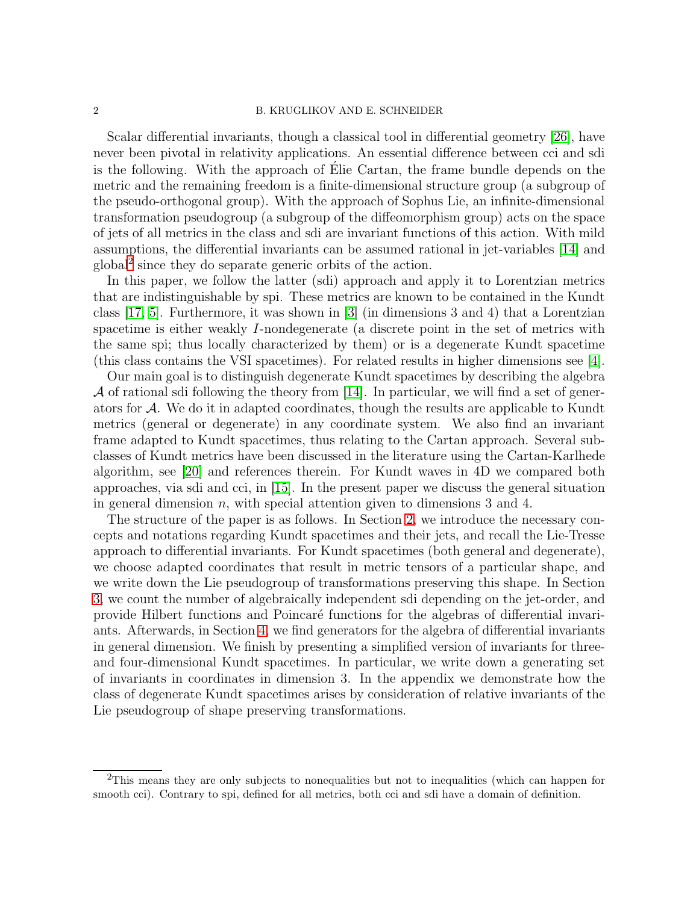#### 2 B. KRUGLIKOV AND E. SCHNEIDER

Scalar differential invariants, though a classical tool in differential geometry [\[26\]](#page-22-11), have never been pivotal in relativity applications. An essential difference between cci and sdi is the following. With the approach of  $E$ lie Cartan, the frame bundle depends on the metric and the remaining freedom is a finite-dimensional structure group (a subgroup of the pseudo-orthogonal group). With the approach of Sophus Lie, an infinite-dimensional transformation pseudogroup (a subgroup of the diffeomorphism group) acts on the space of jets of all metrics in the class and sdi are invariant functions of this action. With mild assumptions, the differential invariants can be assumed rational in jet-variables [\[14\]](#page-22-12) and global[2](#page-1-0) since they do separate generic orbits of the action.

In this paper, we follow the latter (sdi) approach and apply it to Lorentzian metrics that are indistinguishable by spi. These metrics are known to be contained in the Kundt class [\[17,](#page-22-13) [5\]](#page-22-14). Furthermore, it was shown in [\[3\]](#page-21-1) (in dimensions 3 and 4) that a Lorentzian spacetime is either weakly I-nondegenerate (a discrete point in the set of metrics with the same spi; thus locally characterized by them) or is a degenerate Kundt spacetime (this class contains the VSI spacetimes). For related results in higher dimensions see [\[4\]](#page-21-2).

Our main goal is to distinguish degenerate Kundt spacetimes by describing the algebra  $\mathcal A$  of rational sdi following the theory from [\[14\]](#page-22-12). In particular, we will find a set of generators for A. We do it in adapted coordinates, though the results are applicable to Kundt metrics (general or degenerate) in any coordinate system. We also find an invariant frame adapted to Kundt spacetimes, thus relating to the Cartan approach. Several subclasses of Kundt metrics have been discussed in the literature using the Cartan-Karlhede algorithm, see [\[20\]](#page-22-15) and references therein. For Kundt waves in 4D we compared both approaches, via sdi and cci, in [\[15\]](#page-22-16). In the present paper we discuss the general situation in general dimension  $n$ , with special attention given to dimensions 3 and 4.

The structure of the paper is as follows. In Section [2,](#page-2-0) we introduce the necessary concepts and notations regarding Kundt spacetimes and their jets, and recall the Lie-Tresse approach to differential invariants. For Kundt spacetimes (both general and degenerate), we choose adapted coordinates that result in metric tensors of a particular shape, and we write down the Lie pseudogroup of transformations preserving this shape. In Section [3,](#page-6-0) we count the number of algebraically independent sdi depending on the jet-order, and provide Hilbert functions and Poincar´e functions for the algebras of differential invariants. Afterwards, in Section [4,](#page-10-0) we find generators for the algebra of differential invariants in general dimension. We finish by presenting a simplified version of invariants for threeand four-dimensional Kundt spacetimes. In particular, we write down a generating set of invariants in coordinates in dimension 3. In the appendix we demonstrate how the class of degenerate Kundt spacetimes arises by consideration of relative invariants of the Lie pseudogroup of shape preserving transformations.

<span id="page-1-0"></span><sup>&</sup>lt;sup>2</sup>This means they are only subjects to nonequalities but not to inequalities (which can happen for smooth cci). Contrary to spi, defined for all metrics, both cci and sdi have a domain of definition.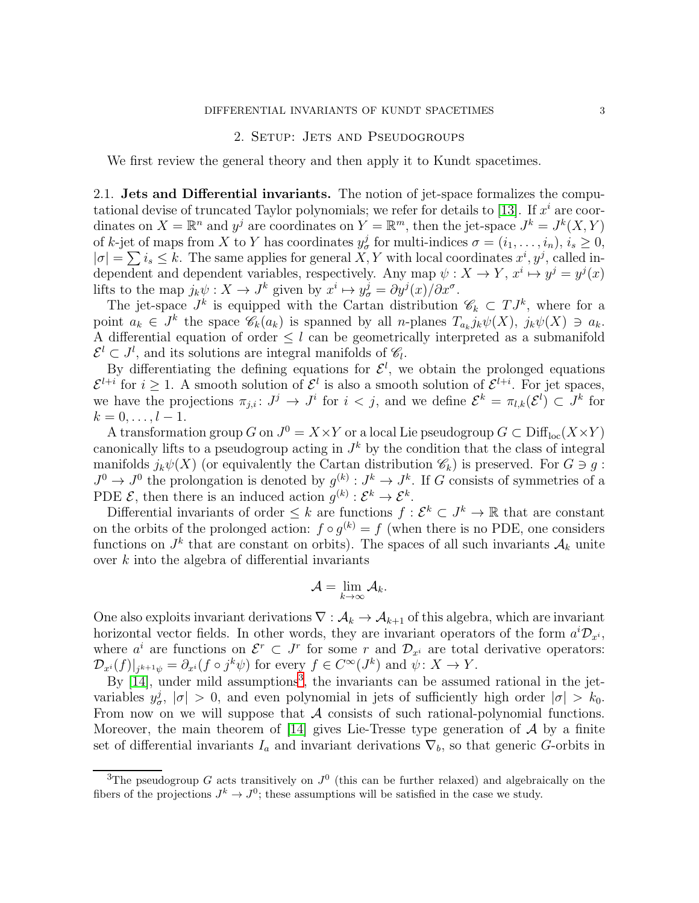#### DIFFERENTIAL INVARIANTS OF KUNDT SPACETIMES 3

### 2. SETUP: JETS AND PSEUDOGROUPS

<span id="page-2-0"></span>We first review the general theory and then apply it to Kundt spacetimes.

<span id="page-2-2"></span>2.1. Jets and Differential invariants. The notion of jet-space formalizes the compu-tational devise of truncated Taylor polynomials; we refer for details to [\[13\]](#page-22-17). If  $x^i$  are coordinates on  $X = \mathbb{R}^n$  and  $y^j$  are coordinates on  $Y = \mathbb{R}^m$ , then the jet-space  $J^k = J^k(X, Y)$ of k-jet of maps from X to Y has coordinates  $y^j_\sigma$  for multi-indices  $\sigma = (i_1, \ldots, i_n), i_s \geq 0$ ,  $|\sigma| = \sum i_s \leq k$ . The same applies for general X, Y with local coordinates  $x^i, y^j$ , called independent and dependent variables, respectively. Any map  $\psi: X \to Y$ ,  $x^i \mapsto y^j = y^j(x)$ lifts to the map  $j_k \psi : X \to J^k$  given by  $x^i \mapsto y^j_\sigma = \partial y^j(x)/\partial x^\sigma$ .

The jet-space  $J^k$  is equipped with the Cartan distribution  $\mathscr{C}_k \subset TJ^k$ , where for a point  $a_k \in J^k$  the space  $\mathscr{C}_k(a_k)$  is spanned by all *n*-planes  $T_{a_k} j_k \psi(X)$ ,  $j_k \psi(X) \ni a_k$ . A differential equation of order  $\leq l$  can be geometrically interpreted as a submanifold  $\mathcal{E}^l \subset J^l$ , and its solutions are integral manifolds of  $\mathcal{C}_l$ .

By differentiating the defining equations for  $\mathcal{E}^l$ , we obtain the prolonged equations  $\mathcal{E}^{l+i}$  for  $i \geq 1$ . A smooth solution of  $\mathcal{E}^l$  is also a smooth solution of  $\mathcal{E}^{l+i}$ . For jet spaces, we have the projections  $\pi_{j,i}: J^j \to J^i$  for  $i < j$ , and we define  $\mathcal{E}^k = \pi_{l,k}(\mathcal{E}^l) \subset J^k$  for  $k = 0, \ldots, l - 1.$ 

A transformation group G on  $J^0 = X \times Y$  or a local Lie pseudogroup  $G \subset \text{Diff}_{\text{loc}}(X \times Y)$ canonically lifts to a pseudogroup acting in  $J^k$  by the condition that the class of integral manifolds  $j_k\psi(X)$  (or equivalently the Cartan distribution  $\mathscr{C}_k$ ) is preserved. For  $G \ni q$ :  $J^0 \to J^0$  the prolongation is denoted by  $g^{(k)} : J^k \to J^k$ . If G consists of symmetries of a PDE  $\mathcal{E}$ , then there is an induced action  $g^{(k)} : \mathcal{E}^k \to \mathcal{E}^k$ .

Differential invariants of order  $\leq k$  are functions  $f : \mathcal{E}^k \subset J^k \to \mathbb{R}$  that are constant on the orbits of the prolonged action:  $f \circ g^{(k)} = f$  (when there is no PDE, one considers functions on  $J^k$  that are constant on orbits). The spaces of all such invariants  $\mathcal{A}_k$  unite over  $k$  into the algebra of differential invariants

$$
\mathcal{A}=\lim_{k\to\infty}\mathcal{A}_k.
$$

One also exploits invariant derivations  $\nabla : A_k \to A_{k+1}$  of this algebra, which are invariant horizontal vector fields. In other words, they are invariant operators of the form  $a^i\mathcal{D}_{x^i}$ , where  $a^i$  are functions on  $\mathcal{E}^r \subset J^r$  for some r and  $\mathcal{D}_{x^i}$  are total derivative operators:  $\mathcal{D}_{x^i}(f)|_{j^{k+1}\psi} = \partial_{x^i}(f \circ j^k \psi)$  for every  $f \in C^{\infty}(J^k)$  and  $\psi \colon X \to Y$ .

By  $[14]$ , under mild assumptions<sup>[3](#page-2-1)</sup>, the invariants can be assumed rational in the jetvariables  $y^j_\sigma$ ,  $|\sigma| > 0$ , and even polynomial in jets of sufficiently high order  $|\sigma| > k_0$ . From now on we will suppose that  $A$  consists of such rational-polynomial functions. Moreover, the main theorem of [\[14\]](#page-22-12) gives Lie-Tresse type generation of  $\mathcal A$  by a finite set of differential invariants  $I_a$  and invariant derivations  $\nabla_b$ , so that generic G-orbits in

<span id="page-2-1"></span><sup>&</sup>lt;sup>3</sup>The pseudogroup G acts transitively on  $J^0$  (this can be further relaxed) and algebraically on the fibers of the projections  $J^k \to J^0$ ; these assumptions will be satisfied in the case we study.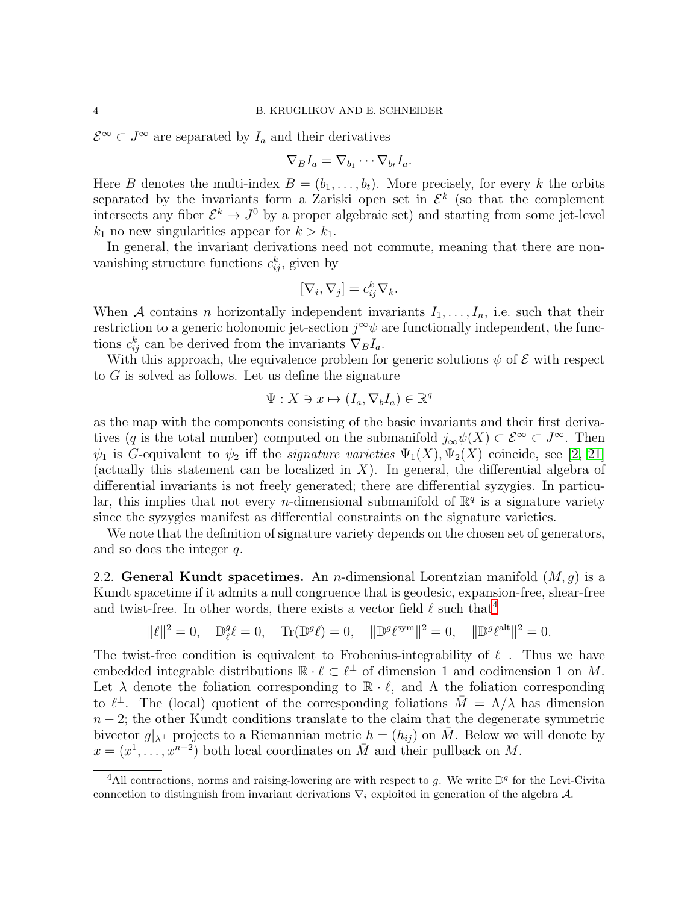$\mathcal{E}^{\infty} \subset J^{\infty}$  are separated by  $I_a$  and their derivatives

$$
\nabla_B I_a = \nabla_{b_1} \cdots \nabla_{b_t} I_a.
$$

Here B denotes the multi-index  $B = (b_1, \ldots, b_t)$ . More precisely, for every k the orbits separated by the invariants form a Zariski open set in  $\mathcal{E}^k$  (so that the complement intersects any fiber  $\mathcal{E}^k \to J^0$  by a proper algebraic set) and starting from some jet-level  $k_1$  no new singularities appear for  $k > k_1$ .

In general, the invariant derivations need not commute, meaning that there are nonvanishing structure functions  $c_{ij}^k$ , given by

$$
[\nabla_i, \nabla_j] = c_{ij}^k \nabla_k.
$$

When A contains n horizontally independent invariants  $I_1, \ldots, I_n$ , i.e. such that their restriction to a generic holonomic jet-section  $j^{\infty}\psi$  are functionally independent, the functions  $c_{ij}^k$  can be derived from the invariants  $\nabla_B I_a$ .

With this approach, the equivalence problem for generic solutions  $\psi$  of  $\mathcal E$  with respect to  $G$  is solved as follows. Let us define the signature

$$
\Psi: X \ni x \mapsto (I_a, \nabla_b I_a) \in \mathbb{R}^q
$$

as the map with the components consisting of the basic invariants and their first derivatives (q is the total number) computed on the submanifold  $j_{\infty}\psi(X) \subset \mathcal{E}^{\infty} \subset J^{\infty}$ . Then  $\psi_1$  is G-equivalent to  $\psi_2$  iff the *signature varieties*  $\Psi_1(X), \Psi_2(X)$  coincide, see [\[2,](#page-21-0) [21\]](#page-22-18) (actually this statement can be localized in  $X$ ). In general, the differential algebra of differential invariants is not freely generated; there are differential syzygies. In particular, this implies that not every *n*-dimensional submanifold of  $\mathbb{R}^q$  is a signature variety since the syzygies manifest as differential constraints on the signature varieties.

We note that the definition of signature variety depends on the chosen set of generators, and so does the integer q.

2.2. General Kundt spacetimes. An *n*-dimensional Lorentzian manifold  $(M, g)$  is a Kundt spacetime if it admits a null congruence that is geodesic, expansion-free, shear-free and twist-free. In other words, there exists a vector field  $\ell$  such that<sup>[4](#page-3-0)</sup>

$$
\|\ell\|^2 = 0, \quad \mathbb{D}_{\ell}^g \ell = 0, \quad \text{Tr}(\mathbb{D}^g \ell) = 0, \quad \|\mathbb{D}^g \ell^{\text{sym}}\|^2 = 0, \quad \|\mathbb{D}^g \ell^{\text{alt}}\|^2 = 0.
$$

The twist-free condition is equivalent to Frobenius-integrability of  $\ell^{\perp}$ . Thus we have embedded integrable distributions  $\mathbb{R} \cdot \ell \subset \ell^{\perp}$  of dimension 1 and codimension 1 on M. Let  $\lambda$  denote the foliation corresponding to  $\mathbb{R} \cdot \ell$ , and  $\Lambda$  the foliation corresponding to  $\ell^{\perp}$ . The (local) quotient of the corresponding foliations  $\bar{M} = \Lambda/\lambda$  has dimension  $n-2$ ; the other Kundt conditions translate to the claim that the degenerate symmetric bivector  $g|_{\lambda^{\perp}}$  projects to a Riemannian metric  $h = (h_{ij})$  on M. Below we will denote by  $x = (x^1, \ldots, x^{n-2})$  both local coordinates on  $\overline{M}$  and their pullback on M.

<span id="page-3-0"></span><sup>&</sup>lt;sup>4</sup>All contractions, norms and raising-lowering are with respect to g. We write  $\mathbb{D}^g$  for the Levi-Civita connection to distinguish from invariant derivations  $\nabla_i$  exploited in generation of the algebra A.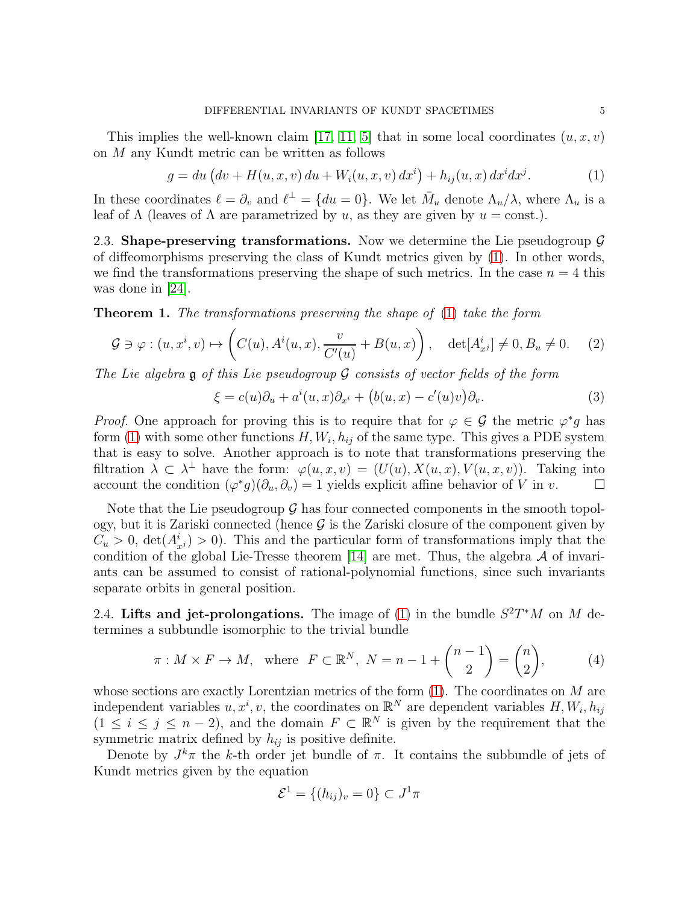This implies the well-known claim [\[17,](#page-22-13) [11,](#page-22-9) [5\]](#page-22-14) that in some local coordinates  $(u, x, v)$ on M any Kundt metric can be written as follows

<span id="page-4-0"></span>
$$
g = du (dv + H(u, x, v) du + Wi(u, x, v) dxi) + hij(u, x) dxi dxj.
$$
 (1)

In these coordinates  $\ell = \partial_v$  and  $\ell^{\perp} = \{du = 0\}$ . We let  $\bar{M}_u$  denote  $\Lambda_u/\lambda$ , where  $\Lambda_u$  is a leaf of  $\Lambda$  (leaves of  $\Lambda$  are parametrized by u, as they are given by  $u = \text{const.}$ ).

2.3. Shape-preserving transformations. Now we determine the Lie pseudogroup  $\mathcal G$ of diffeomorphisms preserving the class of Kundt metrics given by [\(1\)](#page-4-0). In other words, we find the transformations preserving the shape of such metrics. In the case  $n = 4$  this was done in [\[24\]](#page-22-1).

<span id="page-4-1"></span>**Theorem 1.** The transformations preserving the shape of  $(1)$  take the form

<span id="page-4-4"></span>
$$
\mathcal{G} \ni \varphi : (u, x^i, v) \mapsto \left( C(u), A^i(u, x), \frac{v}{C'(u)} + B(u, x) \right), \quad \det[A^i_{x^j}] \neq 0, B_u \neq 0. \tag{2}
$$

The Lie algebra  $\mathfrak g$  of this Lie pseudogroup  $\mathcal G$  consists of vector fields of the form

<span id="page-4-3"></span>
$$
\xi = c(u)\partial_u + a^i(u, x)\partial_{x^i} + (b(u, x) - c'(u)v)\partial_v.
$$
\n(3)

*Proof.* One approach for proving this is to require that for  $\varphi \in \mathcal{G}$  the metric  $\varphi^*g$  has form [\(1\)](#page-4-0) with some other functions  $H, W_i, h_{ij}$  of the same type. This gives a PDE system that is easy to solve. Another approach is to note that transformations preserving the filtration  $\lambda \subset \lambda^{\perp}$  have the form:  $\varphi(u, x, v) = (U(u), X(u, x), V(u, x, v))$ . Taking into account the condition  $(\varphi^* g)(\partial_u, \partial_v) = 1$  yields explicit affine behavior of V in v.

Note that the Lie pseudogroup  $\mathcal G$  has four connected components in the smooth topology, but it is Zariski connected (hence  $\mathcal G$  is the Zariski closure of the component given by  $C_u > 0$ ,  $\det(A_{x}^i) > 0$ ). This and the particular form of transformations imply that the condition of the global Lie-Tresse theorem [\[14\]](#page-22-12) are met. Thus, the algebra  $A$  of invariants can be assumed to consist of rational-polynomial functions, since such invariants separate orbits in general position.

2.4. Lifts and jet-prolongations. The image of [\(1\)](#page-4-0) in the bundle  $S^2T^*M$  on M determines a subbundle isomorphic to the trivial bundle

<span id="page-4-2"></span>
$$
\pi: M \times F \to M, \text{ where } F \subset \mathbb{R}^N, N = n - 1 + \binom{n-1}{2} = \binom{n}{2}, \tag{4}
$$

whose sections are exactly Lorentzian metrics of the form  $(1)$ . The coordinates on M are independent variables  $u, x^i, v$ , the coordinates on  $\mathbb{R}^N$  are dependent variables  $H, W_i, h_{ij}$  $(1 \leq i \leq j \leq n-2)$ , and the domain  $F \subset \mathbb{R}^N$  is given by the requirement that the symmetric matrix defined by  $h_{ij}$  is positive definite.

Denote by  $J^k\pi$  the k-th order jet bundle of  $\pi$ . It contains the subbundle of jets of Kundt metrics given by the equation

$$
\mathcal{E}^1 = \{(h_{ij})_v = 0\} \subset J^1 \pi
$$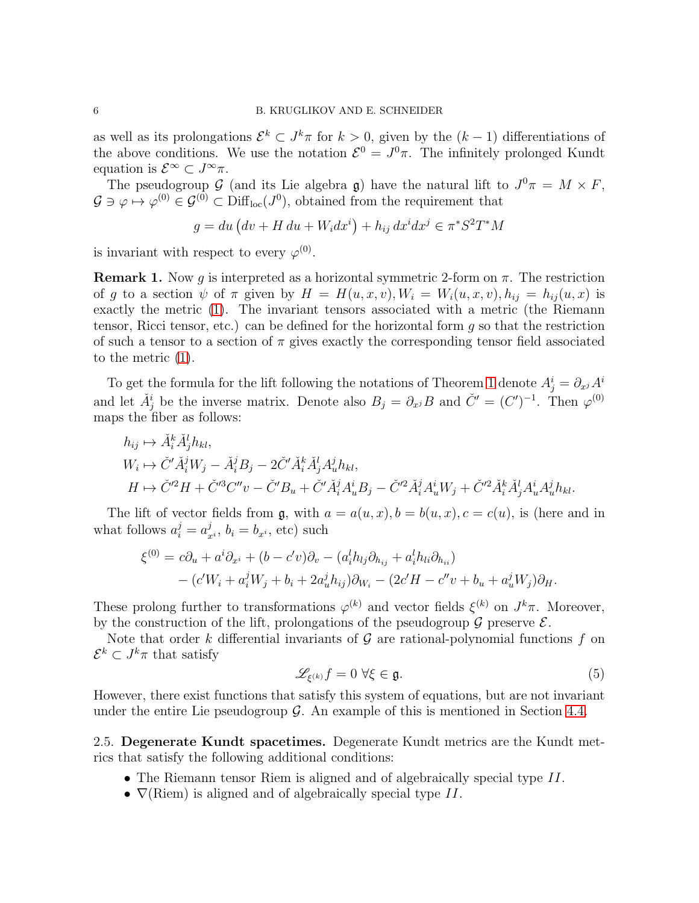as well as its prolongations  $\mathcal{E}^k \subset J^k \pi$  for  $k > 0$ , given by the  $(k-1)$  differentiations of the above conditions. We use the notation  $\mathcal{E}^0 = J^0 \pi$ . The infinitely prolonged Kundt equation is  $\mathcal{E}^{\infty} \subset J^{\infty} \pi$ .

The pseudogroup  $\mathcal{G}$  (and its Lie algebra g) have the natural lift to  $J^0\pi = M \times F$ ,  $G \ni \varphi \mapsto \varphi^{(0)} \in \mathcal{G}^{(0)} \subset \text{Diff}_{\text{loc}}(J^0)$ , obtained from the requirement that

$$
g = du (dv + H du + W_i dx^i) + h_{ij} dx^i dx^j \in \pi^* S^2 T^* M
$$

is invariant with respect to every  $\varphi^{(0)}$ .

 $\sqrt{1}$   $\sqrt{1}$ 

**Remark 1.** Now g is interpreted as a horizontal symmetric 2-form on  $\pi$ . The restriction of g to a section  $\psi$  of  $\pi$  given by  $H = H(u, x, v), W_i = W_i(u, x, v), h_{ij} = h_{ij}(u, x)$  is exactly the metric [\(1\)](#page-4-0). The invariant tensors associated with a metric (the Riemann tensor, Ricci tensor, etc.) can be defined for the horizontal form  $g$  so that the restriction of such a tensor to a section of  $\pi$  gives exactly the corresponding tensor field associated to the metric [\(1\)](#page-4-0).

To get the formula for the lift following the notations of Theorem [1](#page-4-1) denote  $A^i_j = \partial_{x^j} A^i$ and let  $\check{A}^i_j$  be the inverse matrix. Denote also  $B_j = \partial_{x^j} B$  and  $\check{C}^{\prime} = (C^{\prime})^{-1}$ . Then  $\varphi^{(0)}$ maps the fiber as follows:

$$
h_{ij} \mapsto \check{A}_i^k \check{A}_j^l h_{kl},
$$
  
\n
$$
W_i \mapsto \check{C}' \check{A}_i^j W_j - \check{A}_i^j B_j - 2 \check{C}' \check{A}_i^k \check{A}_j^l A_u^j h_{kl},
$$
  
\n
$$
H \mapsto \check{C}'^2 H + \check{C}'^3 C'' v - \check{C}' B_u + \check{C}' \check{A}_i^j A_u^i B_j - \check{C}'^2 \check{A}_i^j A_u^i W_j + \check{C}'^2 \check{A}_i^k \check{A}_j^l A_u^i A_u^j h_{kl}.
$$

The lift of vector fields from  $\mathfrak{g}$ , with  $a = a(u, x), b = b(u, x), c = c(u)$ , is (here and in what follows  $a_i^j = a_i^j$  $y_{x^i}$ ,  $b_i = b_{x^i}$ , etc) such

$$
\xi^{(0)} = c\partial_u + a^i \partial_{x^i} + (b - c'v)\partial_v - (a^l_i h_{lj}\partial_{h_{ij}} + a^l_i h_{li}\partial_{h_{ii}})
$$
  
– 
$$
(c'W_i + a^j_i W_j + b_i + 2a^j_u h_{ij})\partial_{W_i} - (2c'H - c''v + b_u + a^j_u W_j)\partial_H.
$$

These prolong further to transformations  $\varphi^{(k)}$  and vector fields  $\xi^{(k)}$  on  $J^k \pi$ . Moreover, by the construction of the lift, prolongations of the pseudogroup  $\mathcal G$  preserve  $\mathcal E$ .

Note that order k differential invariants of  $\mathcal G$  are rational-polynomial functions f on  $\mathcal{E}^k \subset J^k \pi$  that satisfy

<span id="page-5-0"></span>
$$
\mathscr{L}_{\xi^{(k)}}f = 0 \,\,\forall \xi \in \mathfrak{g}.\tag{5}
$$

However, there exist functions that satisfy this system of equations, but are not invariant under the entire Lie pseudogroup  $\mathcal G$ . An example of this is mentioned in Section [4.4.](#page-13-0)

2.5. Degenerate Kundt spacetimes. Degenerate Kundt metrics are the Kundt metrics that satisfy the following additional conditions:

- The Riemann tensor Riem is aligned and of algebraically special type II.
- $\nabla$ (Riem) is aligned and of algebraically special type II.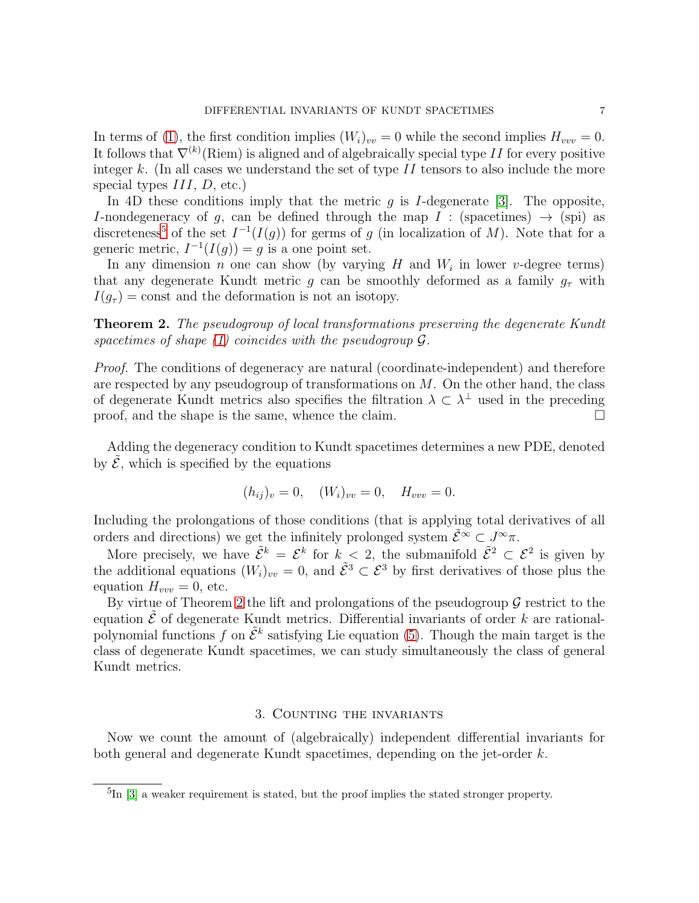In terms of [\(1\)](#page-4-0), the first condition implies  $(W_i)_{vv} = 0$  while the second implies  $H_{vvv} = 0$ . It follows that  $\nabla^{(k)}$ (Riem) is aligned and of algebraically special type II for every positive integer k. (In all cases we understand the set of type  $II$  tensors to also include the more special types  $III, D, etc.$ 

In 4D these conditions imply that the metric q is I-degenerate [\[3\]](#page-21-1). The opposite, I-nondegeneracy of g, can be defined through the map I : (spacetimes)  $\rightarrow$  (spi) as discreteness<sup>[5](#page-6-1)</sup> of the set  $I^{-1}(I(g))$  for germs of g (in localization of M). Note that for a generic metric,  $I^{-1}(I(g)) = g$  is a one point set.

In any dimension *n* one can show (by varying  $H$  and  $W_i$  in lower v-degree terms) that any degenerate Kundt metric g can be smoothly deformed as a family  $g_{\tau}$  with  $I(q_{\tau}) = \text{const}$  and the deformation is not an isotopy.

<span id="page-6-2"></span>**Theorem 2.** The pseudogroup of local transformations preserving the degenerate Kundt spacetimes of shape  $(1)$  coincides with the pseudogroup  $\mathcal{G}$ .

Proof. The conditions of degeneracy are natural (coordinate-independent) and therefore are respected by any pseudogroup of transformations on  $M$ . On the other hand, the class of degenerate Kundt metrics also specifies the filtration  $\lambda \subset \lambda^{\perp}$  used in the preceding proof, and the shape is the same, whence the claim.  $\Box$ 

Adding the degeneracy condition to Kundt spacetimes determines a new PDE, denoted by  $\mathcal{E}$ , which is specified by the equations

$$
(h_{ij})_v = 0, \quad (W_i)_{vv} = 0, \quad H_{vvv} = 0.
$$

Including the prolongations of those conditions (that is applying total derivatives of all orders and directions) we get the infinitely prolonged system  $\tilde{\mathcal{E}}^{\infty} \subset J^{\infty} \pi$ .

More precisely, we have  $\tilde{\mathcal{E}}^k = \mathcal{E}^k$  for  $k < 2$ , the submanifold  $\tilde{\mathcal{E}}^2 \subset \mathcal{E}^2$  is given by the additional equations  $(W_i)_{vv} = 0$ , and  $\tilde{\mathcal{E}}^3 \subset \mathcal{E}^3$  by first derivatives of those plus the equation  $H_{vvv} = 0$ , etc.

By virtue of Theorem [2](#page-6-2) the lift and prolongations of the pseudogroup  $\mathcal G$  restrict to the equation  $\mathcal{\hat{E}}$  of degenerate Kundt metrics. Differential invariants of order k are rationalpolynomial functions f on  $\tilde{\mathcal{E}}^k$  satisfying Lie equation [\(5\)](#page-5-0). Though the main target is the class of degenerate Kundt spacetimes, we can study simultaneously the class of general Kundt metrics.

#### 3. Counting the invariants

<span id="page-6-0"></span>Now we count the amount of (algebraically) independent differential invariants for both general and degenerate Kundt spacetimes, depending on the jet-order k.

<span id="page-6-1"></span><sup>&</sup>lt;sup>5</sup>In [\[3\]](#page-21-1) a weaker requirement is stated, but the proof implies the stated stronger property.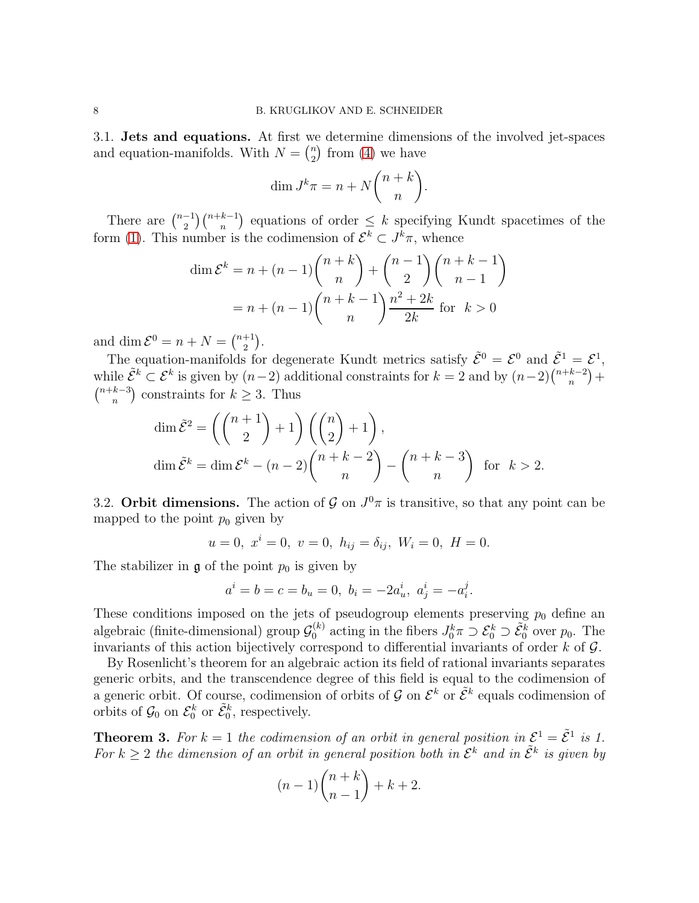3.1. Jets and equations. At first we determine dimensions of the involved jet-spaces and equation-manifolds. With  $N = \binom{n}{2}$  $n \choose 2$  from [\(4\)](#page-4-2) we have

$$
\dim J^k \pi = n + N \binom{n+k}{n}.
$$

There are  $\binom{n-1}{2}$  $\binom{-1}{2}\binom{n+k-1}{n}$  equations of order  $\leq k$  specifying Kundt spacetimes of the form [\(1\)](#page-4-0). This number is the codimension of  $\mathcal{E}^k \subset J^k \pi$ , whence

$$
\dim \mathcal{E}^k = n + (n-1) \binom{n+k}{n} + \binom{n-1}{2} \binom{n+k-1}{n-1}
$$

$$
= n + (n-1) \binom{n+k-1}{n} \frac{n^2 + 2k}{2k} \text{ for } k > 0
$$

and dim  $\mathcal{E}^0 = n + N = \binom{n+1}{2}$  $\binom{+1}{2}$ .

The equation-manifolds for degenerate Kundt metrics satisfy  $\tilde{\mathcal{E}}^0 = \mathcal{E}^0$  and  $\tilde{\mathcal{E}}^1 = \mathcal{E}^1$ , while  $\tilde{\mathcal{E}}^k \subset \mathcal{E}^k$  is given by  $(n-2)$  additional constraints for  $k=2$  and by  $(n-2)\binom{n+k-2}{n}$  $_{n}^{k-2}) +$  $\binom{n+k-3}{n}$  $_{n}^{k-3}$  constraints for  $k \geq 3$ . Thus

$$
\dim \tilde{\mathcal{E}}^2 = \left( \binom{n+1}{2} + 1 \right) \left( \binom{n}{2} + 1 \right),
$$
  

$$
\dim \tilde{\mathcal{E}}^k = \dim \mathcal{E}^k - (n-2) \binom{n+k-2}{n} - \binom{n+k-3}{n} \text{ for } k > 2.
$$

<span id="page-7-1"></span>3.2. Orbit dimensions. The action of  $\mathcal{G}$  on  $J^0\pi$  is transitive, so that any point can be mapped to the point  $p_0$  given by

 $u = 0, x^{i} = 0, v = 0, h_{ij} = \delta_{ij}, W_{i} = 0, H = 0.$ 

The stabilizer in  $\mathfrak g$  of the point  $p_0$  is given by

$$
a^i = b = c = b_u = 0, b_i = -2a^i_u, a^i_j = -a^j_i.
$$

These conditions imposed on the jets of pseudogroup elements preserving  $p_0$  define an algebraic (finite-dimensional) group  $\mathcal{G}_0^{(k)}$  $J_0^{(k)}$  acting in the fibers  $J_0^k \pi \supset \mathcal{E}_0^k \supset \tilde{\mathcal{E}}_0^k$  over  $p_0$ . The invariants of this action bijectively correspond to differential invariants of order  $k$  of  $\mathcal{G}$ .

By Rosenlicht's theorem for an algebraic action its field of rational invariants separates generic orbits, and the transcendence degree of this field is equal to the codimension of a generic orbit. Of course, codimension of orbits of G on  $\mathcal{E}^k$  or  $\tilde{\mathcal{E}}^k$  equals codimension of orbits of  $\mathcal{G}_0$  on  $\mathcal{E}_0^k$  or  $\tilde{\mathcal{E}}_0^k$ , respectively.

<span id="page-7-0"></span>**Theorem 3.** For  $k = 1$  the codimension of an orbit in general position in  $\mathcal{E}^1 = \tilde{\mathcal{E}}^1$  is 1. For  $k \geq 2$  the dimension of an orbit in general position both in  $\mathcal{E}^k$  and in  $\tilde{\mathcal{E}}^k$  is given by

$$
(n-1)\binom{n+k}{n-1} + k + 2.
$$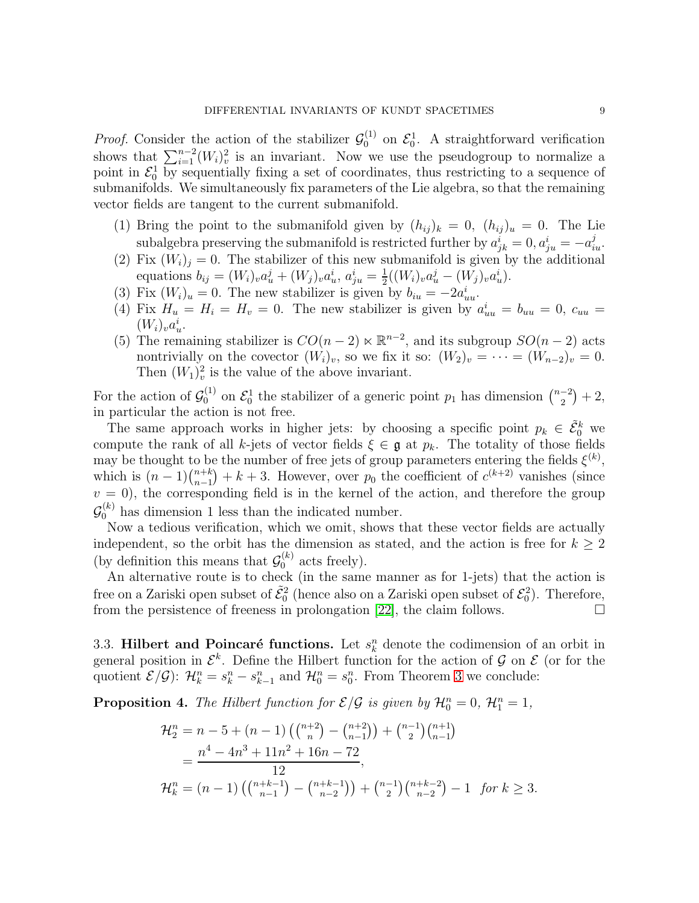*Proof.* Consider the action of the stabilizer  $\mathcal{G}_0^{(1)}$  $\mathcal{E}_0^{(1)}$  on  $\mathcal{E}_0^1$ . A straightforward verification shows that  $\sum_{i=1}^{n-2} (W_i)_v^2$  is an invariant. Now we use the pseudogroup to normalize a point in  $\mathcal{E}_0^1$  by sequentially fixing a set of coordinates, thus restricting to a sequence of submanifolds. We simultaneously fix parameters of the Lie algebra, so that the remaining vector fields are tangent to the current submanifold.

- (1) Bring the point to the submanifold given by  $(h_{ij})_k = 0$ ,  $(h_{ij})_u = 0$ . The Lie subalgebra preserving the submanifold is restricted further by  $a_{jk}^i = 0, a_{ju}^i = -a_{iu}^j$ .
- (2) Fix  $(W_i)_i = 0$ . The stabilizer of this new submanifold is given by the additional equations  $b_{ij} = (W_i)_v a_u^j + (W_j)_v a_u^i, a_{ju}^i = \frac{1}{2}$  $\frac{1}{2}((W_i)_v a_u^j - (W_j)_v a_u^i).$
- (3) Fix  $(W_i)_u = 0$ . The new stabilizer is given by  $b_{iu} = -2a_{uu}^i$ .
- (4) Fix  $H_u = H_i = H_v = 0$ . The new stabilizer is given by  $a_{uu}^i = b_{uu} = 0$ ,  $c_{uu} =$  $(W_i)_v a_u^i$ .
- (5) The remaining stabilizer is  $CO(n-2) \ltimes \mathbb{R}^{n-2}$ , and its subgroup  $SO(n-2)$  acts nontrivially on the covector  $(W_i)_v$ , so we fix it so:  $(W_2)_v = \cdots = (W_{n-2})_v = 0$ . Then  $(W_1)_v^2$  is the value of the above invariant.

For the action of  $\mathcal{G}_0^{(1)}$  on  $\mathcal{E}_0^1$  the stabilizer of a generic point  $p_1$  has dimension  $\binom{n-2}{2}$  $\binom{-2}{2}+2,$ in particular the action is not free.

The same approach works in higher jets: by choosing a specific point  $p_k \in \tilde{\mathcal{E}}_0^k$  we compute the rank of all k-jets of vector fields  $\xi \in \mathfrak{g}$  at  $p_k$ . The totality of those fields may be thought to be the number of free jets of group parameters entering the fields  $\xi^{(k)}$ , which is  $(n-1)\binom{n+k}{n-1} + k + 3$ . However, over  $p_0$  the coefficient of  $c^{(k+2)}$  vanishes (since  $v = 0$ , the corresponding field is in the kernel of the action, and therefore the group  $\mathcal{G}_0^{(k)}$  has dimension 1 less than the indicated number.

Now a tedious verification, which we omit, shows that these vector fields are actually independent, so the orbit has the dimension as stated, and the action is free for  $k \geq 2$ (by definition this means that  $\mathcal{G}_0^{(k)}$  acts freely).

An alternative route is to check (in the same manner as for 1-jets) that the action is free on a Zariski open subset of  $\tilde{\mathcal{E}}_0^2$  (hence also on a Zariski open subset of  $\mathcal{E}_0^2$ ). Therefore, from the persistence of freeness in prolongation [\[22\]](#page-22-19), the claim follows.  $\Box$ 

<span id="page-8-0"></span>3.3. Hilbert and Poincaré functions. Let  $s_k^n$  denote the codimension of an orbit in general position in  $\mathcal{E}^k$ . Define the Hilbert function for the action of  $\mathcal{G}$  on  $\mathcal{E}$  (or for the quotient  $\mathcal{E}/\mathcal{G}$ :  $\mathcal{H}_k^n = s_k^n - s_{k-1}^n$  and  $\mathcal{H}_0^n = s_0^n$ . From Theorem [3](#page-7-0) we conclude:

**Proposition 4.** The Hilbert function for  $\mathcal{E}/\mathcal{G}$  is given by  $\mathcal{H}_0^n = 0$ ,  $\mathcal{H}_1^n = 1$ ,

$$
\mathcal{H}_2^n = n - 5 + (n - 1) \left( {n+2 \choose n} - {n+2 \choose n-1} \right) + {n-1 \choose 2} {n+1 \choose n-1}
$$
  
= 
$$
\frac{n^4 - 4n^3 + 11n^2 + 16n - 72}{12},
$$
  

$$
\mathcal{H}_k^n = (n - 1) \left( {n+k-1 \choose n-1} - {n+k-1 \choose n-2} \right) + {n-1 \choose 2} {n+k-2 \choose n-2} - 1 \text{ for } k \ge 3.
$$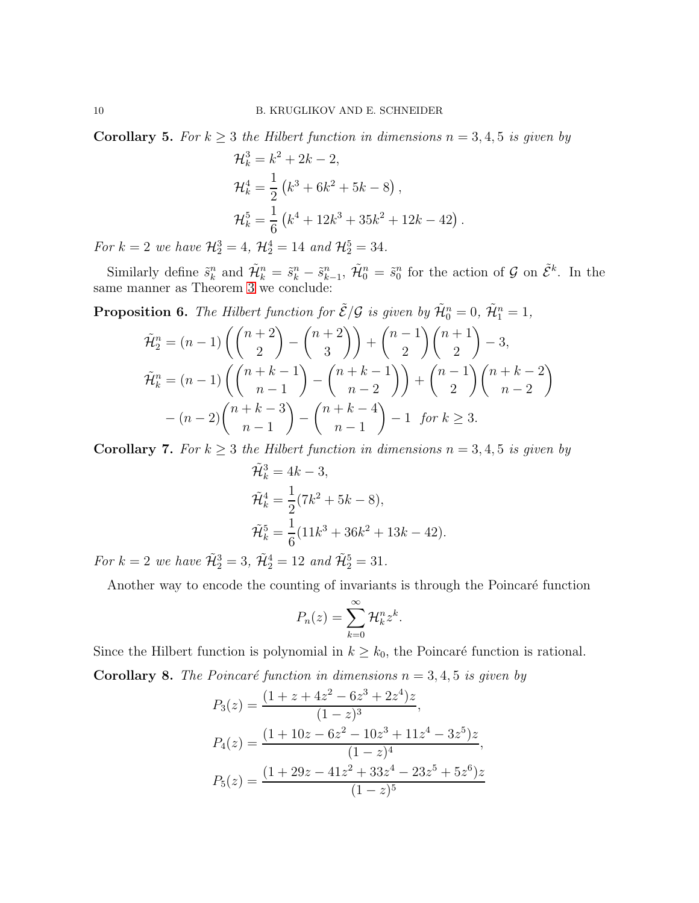Corollary 5. For  $k \geq 3$  the Hilbert function in dimensions  $n = 3, 4, 5$  is given by

$$
\mathcal{H}_k^3 = k^2 + 2k - 2,
$$
  
\n
$$
\mathcal{H}_k^4 = \frac{1}{2} (k^3 + 6k^2 + 5k - 8),
$$
  
\n
$$
\mathcal{H}_k^5 = \frac{1}{6} (k^4 + 12k^3 + 35k^2 + 12k - 42).
$$

For  $k = 2$  we have  $\mathcal{H}_2^3 = 4$ ,  $\mathcal{H}_2^4 = 14$  and  $\mathcal{H}_2^5 = 34$ .

Similarly define  $\tilde{s}_k^n$  and  $\tilde{\mathcal{H}}_k^n = \tilde{s}_k^n - \tilde{s}_{k-1}^n$ ,  $\tilde{\mathcal{H}}_0^n = \tilde{s}_0^n$  for the action of  $\mathcal G$  on  $\tilde{\mathcal E}^k$ . In the same manner as Theorem [3](#page-7-0) we conclude:

**Proposition 6.** The Hilbert function for  $\tilde{\mathcal{E}}/\mathcal{G}$  is given by  $\tilde{\mathcal{H}}_0^n = 0$ ,  $\tilde{\mathcal{H}}_1^n = 1$ ,

$$
\tilde{\mathcal{H}}_2^n = (n-1) \left( \binom{n+2}{2} - \binom{n+2}{3} \right) + \binom{n-1}{2} \binom{n+1}{2} - 3,
$$
\n
$$
\tilde{\mathcal{H}}_k^n = (n-1) \left( \binom{n+k-1}{n-1} - \binom{n+k-1}{n-2} \right) + \binom{n-1}{2} \binom{n+k-2}{n-2}
$$
\n
$$
- (n-2) \binom{n+k-3}{n-1} - \binom{n+k-4}{n-1} - 1 \text{ for } k \ge 3.
$$

**Corollary 7.** For  $k \geq 3$  the Hilbert function in dimensions  $n = 3, 4, 5$  is given by

$$
\tilde{\mathcal{H}}_k^3 = 4k - 3,
$$
  
\n
$$
\tilde{\mathcal{H}}_k^4 = \frac{1}{2}(7k^2 + 5k - 8),
$$
  
\n
$$
\tilde{\mathcal{H}}_k^5 = \frac{1}{6}(11k^3 + 36k^2 + 13k - 42).
$$

For  $k = 2$  we have  $\tilde{\mathcal{H}}_2^3 = 3$ ,  $\tilde{\mathcal{H}}_2^4 = 12$  and  $\tilde{\mathcal{H}}_2^5 = 31$ .

Another way to encode the counting of invariants is through the Poincaré function

$$
P_n(z) = \sum_{k=0}^{\infty} \mathcal{H}_k^n z^k.
$$

Since the Hilbert function is polynomial in  $k \geq k_0$ , the Poincaré function is rational.

**Corollary 8.** The Poincaré function in dimensions  $n = 3, 4, 5$  is given by

$$
P_3(z) = \frac{(1+z+4z^2-6z^3+2z^4)z}{(1-z)^3},
$$
  
\n
$$
P_4(z) = \frac{(1+10z-6z^2-10z^3+11z^4-3z^5)z}{(1-z)^4},
$$
  
\n
$$
P_5(z) = \frac{(1+29z-41z^2+33z^4-23z^5+5z^6)z}{(1-z)^5}
$$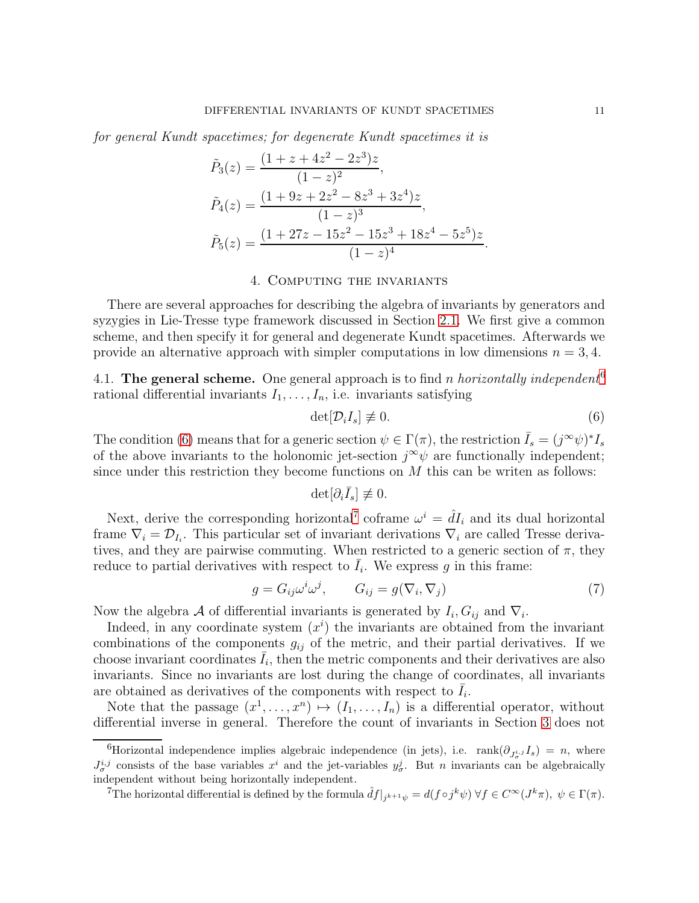for general Kundt spacetimes; for degenerate Kundt spacetimes it is

$$
\tilde{P}_3(z) = \frac{(1+z+4z^2-2z^3)z}{(1-z)^2},
$$
\n
$$
\tilde{P}_4(z) = \frac{(1+9z+2z^2-8z^3+3z^4)z}{(1-z)^3},
$$
\n
$$
\tilde{P}_5(z) = \frac{(1+27z-15z^2-15z^3+18z^4-5z^5)z}{(1-z)^4}.
$$

#### 4. Computing the invariants

<span id="page-10-0"></span>There are several approaches for describing the algebra of invariants by generators and syzygies in Lie-Tresse type framework discussed in Section [2.1.](#page-2-2) We first give a common scheme, and then specify it for general and degenerate Kundt spacetimes. Afterwards we provide an alternative approach with simpler computations in low dimensions  $n = 3, 4$ .

<span id="page-10-5"></span>4.1. The general scheme. One general approach is to find n horizontally independent<sup>[6](#page-10-1)</sup> rational differential invariants  $I_1, \ldots, I_n$ , i.e. invariants satisfying

<span id="page-10-2"></span>
$$
\det[\mathcal{D}_i I_s] \neq 0. \tag{6}
$$

The condition [\(6\)](#page-10-2) means that for a generic section  $\psi \in \Gamma(\pi)$ , the restriction  $\bar{I}_s = (j^{\infty} \psi)^* I_s$ of the above invariants to the holonomic jet-section  $j^{\infty}\psi$  are functionally independent; since under this restriction they become functions on  $M$  this can be writen as follows:

$$
\det[\partial_i \bar{I}_s] \not\equiv 0.
$$

Next, derive the corresponding horizontal<sup>[7](#page-10-3)</sup> coframe  $\omega^i = \hat{d}I_i$  and its dual horizontal frame  $\nabla_i = \mathcal{D}_{I_i}$ . This particular set of invariant derivations  $\nabla_i$  are called Tresse derivatives, and they are pairwise commuting. When restricted to a generic section of  $\pi$ , they reduce to partial derivatives with respect to  $\bar{I}_i$ . We express g in this frame:

<span id="page-10-4"></span>
$$
g = G_{ij}\omega^i \omega^j, \qquad G_{ij} = g(\nabla_i, \nabla_j) \tag{7}
$$

Now the algebra A of differential invariants is generated by  $I_i, G_{ij}$  and  $\nabla_i$ .

Indeed, in any coordinate system  $(x<sup>i</sup>)$  the invariants are obtained from the invariant combinations of the components  $g_{ij}$  of the metric, and their partial derivatives. If we choose invariant coordinates  $\bar{I}_i$ , then the metric components and their derivatives are also invariants. Since no invariants are lost during the change of coordinates, all invariants are obtained as derivatives of the components with respect to  $\overline{I}_i$ .

Note that the passage  $(x^1, \ldots, x^n) \mapsto (I_1, \ldots, I_n)$  is a differential operator, without differential inverse in general. Therefore the count of invariants in Section [3](#page-6-0) does not

<span id="page-10-1"></span><sup>6</sup>Horizontal independence implies algebraic independence (in jets), i.e.  $rank(\partial_{J_{\sigma}^{i,j}}I_s) = n$ , where  $J_{\sigma}^{i,j}$  consists of the base variables  $x^{i}$  and the jet-variables  $y_{\sigma}^{j}$ . But *n* invariants can be algebraically independent without being horizontally independent.

<span id="page-10-3"></span><sup>&</sup>lt;sup>7</sup>The horizontal differential is defined by the formula  $\hat{d}f|_{j^{k+1}\psi} = d(f \circ j^k \psi) \forall f \in C^{\infty}(J^k \pi)$ ,  $\psi \in \Gamma(\pi)$ .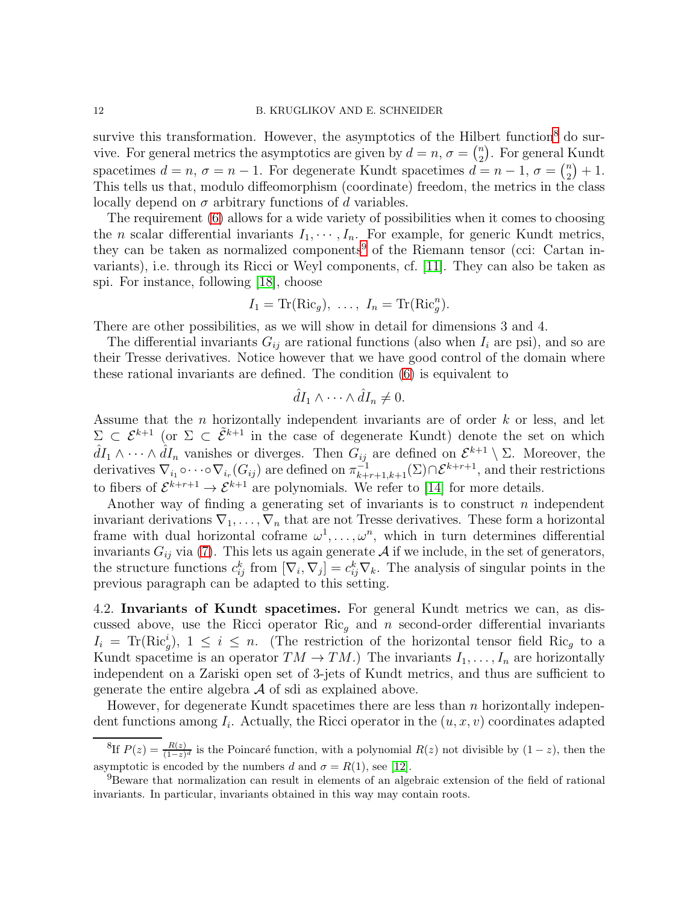survive this transformation. However, the asymptotics of the Hilbert function<sup>[8](#page-11-0)</sup> do survive. For general metrics the asymptotics are given by  $d = n$ ,  $\sigma = \binom{n}{2}$  $\binom{n}{2}$ . For general Kundt spacetimes  $d = n$ ,  $\sigma = n - 1$ . For degenerate Kundt spacetimes  $d = n - 1$ ,  $\sigma = \begin{pmatrix} n \\ 2 \end{pmatrix}$  $n \choose 2 + 1.$ This tells us that, modulo diffeomorphism (coordinate) freedom, the metrics in the class locally depend on  $\sigma$  arbitrary functions of d variables.

The requirement [\(6\)](#page-10-2) allows for a wide variety of possibilities when it comes to choosing the *n* scalar differential invariants  $I_1, \dots, I_n$ . For example, for generic Kundt metrics, they can be taken as normalized components<sup>[9](#page-11-1)</sup> of the Riemann tensor (cci: Cartan invariants), i.e. through its Ricci or Weyl components, cf. [\[11\]](#page-22-9). They can also be taken as spi. For instance, following [\[18\]](#page-22-20), choose

$$
I_1 = \text{Tr}(\text{Ric}_g), \ \ldots, \ I_n = \text{Tr}(\text{Ric}_g^n).
$$

There are other possibilities, as we will show in detail for dimensions 3 and 4.

The differential invariants  $G_{ij}$  are rational functions (also when  $I_i$  are psi), and so are their Tresse derivatives. Notice however that we have good control of the domain where these rational invariants are defined. The condition [\(6\)](#page-10-2) is equivalent to

$$
\hat{d}I_1 \wedge \cdots \wedge \hat{d}I_n \neq 0.
$$

Assume that the  $n$  horizontally independent invariants are of order  $k$  or less, and let  $\Sigma \subset \mathcal{E}^{k+1}$  (or  $\Sigma \subset \tilde{\mathcal{E}}^{k+1}$  in the case of degenerate Kundt) denote the set on which  $\hat{d}I_1 \wedge \cdots \wedge \hat{d}I_n$  vanishes or diverges. Then  $G_{ij}$  are defined on  $\mathcal{E}^{k+1} \setminus \Sigma$ . Moreover, the derivatives  $\nabla_{i_1}\circ\cdots\circ\nabla_{i_r}(G_{ij})$  are defined on  $\pi_{k+r+1,k+1}^{-1}(\Sigma)\cap \mathcal{E}^{k+r+1}$ , and their restrictions to fibers of  $\mathcal{E}^{k+r+1} \to \mathcal{E}^{k+1}$  are polynomials. We refer to [\[14\]](#page-22-12) for more details.

Another way of finding a generating set of invariants is to construct  $n$  independent invariant derivations  $\nabla_1, \ldots, \nabla_n$  that are not Tresse derivatives. These form a horizontal frame with dual horizontal coframe  $\omega^1, \ldots, \omega^n$ , which in turn determines differential invariants  $G_{ij}$  via [\(7\)](#page-10-4). This lets us again generate  $A$  if we include, in the set of generators, the structure functions  $c_{ij}^k$  from  $[\nabla_i, \nabla_j] = c_{ij}^k \nabla_k$ . The analysis of singular points in the previous paragraph can be adapted to this setting.

<span id="page-11-2"></span>4.2. Invariants of Kundt spacetimes. For general Kundt metrics we can, as discussed above, use the Ricci operator  $\text{Ric}_g$  and n second-order differential invariants  $I_i = \text{Tr}(\text{Ric}_g^i), 1 \leq i \leq n.$  (The restriction of the horizontal tensor field Ric<sub>g</sub> to a Kundt spacetime is an operator  $TM \to TM$ .) The invariants  $I_1, \ldots, I_n$  are horizontally independent on a Zariski open set of 3-jets of Kundt metrics, and thus are sufficient to generate the entire algebra  $A$  of sdi as explained above.

However, for degenerate Kundt spacetimes there are less than  $n$  horizontally independent functions among  $I_i$ . Actually, the Ricci operator in the  $(u, x, v)$  coordinates adapted

<span id="page-11-0"></span><sup>&</sup>lt;sup>8</sup>If  $P(z) = \frac{R(z)}{(1-z)^d}$  is the Poincaré function, with a polynomial  $R(z)$  not divisible by  $(1-z)$ , then the asymptotic is encoded by the numbers d and  $\sigma = R(1)$ , see [\[12\]](#page-22-21).

<span id="page-11-1"></span><sup>&</sup>lt;sup>9</sup>Beware that normalization can result in elements of an algebraic extension of the field of rational invariants. In particular, invariants obtained in this way may contain roots.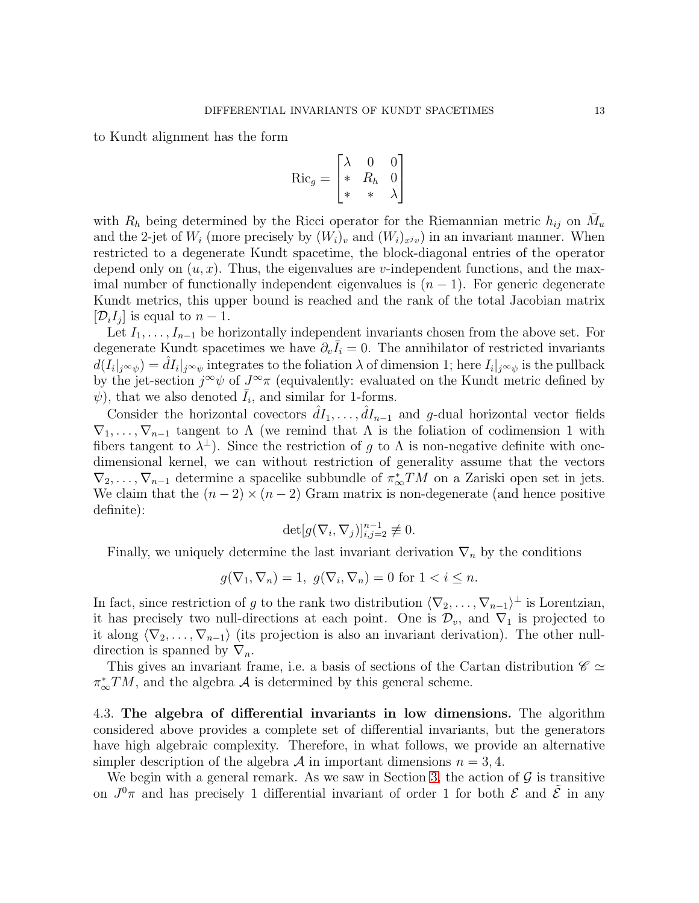to Kundt alignment has the form

$$
\text{Ric}_g = \begin{bmatrix} \lambda & 0 & 0 \\ * & R_h & 0 \\ * & * & \lambda \end{bmatrix}
$$

with  $R_h$  being determined by the Ricci operator for the Riemannian metric  $h_{ij}$  on  $\bar{M}_u$ and the 2-jet of  $W_i$  (more precisely by  $(W_i)_v$  and  $(W_i)_{x^jv}$ ) in an invariant manner. When restricted to a degenerate Kundt spacetime, the block-diagonal entries of the operator depend only on  $(u, x)$ . Thus, the eigenvalues are v-independent functions, and the maximal number of functionally independent eigenvalues is  $(n - 1)$ . For generic degenerate Kundt metrics, this upper bound is reached and the rank of the total Jacobian matrix  $[\mathcal{D}_i I_j]$  is equal to  $n-1$ .

Let  $I_1, \ldots, I_{n-1}$  be horizontally independent invariants chosen from the above set. For degenerate Kundt spacetimes we have  $\partial_v \bar{I}_i = 0$ . The annihilator of restricted invariants  $d(I_i|_{j\infty\psi}) = \hat{d}I_i|_{j\infty\psi}$  integrates to the foliation  $\lambda$  of dimension 1; here  $I_i|_{j\infty\psi}$  is the pullback by the jet-section  $j^{\infty}\psi$  of  $J^{\infty}\pi$  (equivalently: evaluated on the Kundt metric defined by  $\psi$ ), that we also denoted  $\bar{I}_i$ , and similar for 1-forms.

Consider the horizontal covectors  $\hat{d}I_1, \ldots, \hat{d}I_{n-1}$  and g-dual horizontal vector fields  $\nabla_1, \ldots, \nabla_{n-1}$  tangent to  $\Lambda$  (we remind that  $\Lambda$  is the foliation of codimension 1 with fibers tangent to  $\lambda^{\perp}$ ). Since the restriction of g to  $\Lambda$  is non-negative definite with onedimensional kernel, we can without restriction of generality assume that the vectors  $\nabla_2, \ldots, \nabla_{n-1}$  determine a spacelike subbundle of  $\pi_{\infty}^*TM$  on a Zariski open set in jets. We claim that the  $(n-2) \times (n-2)$  Gram matrix is non-degenerate (and hence positive definite):

$$
\det [g(\nabla_i, \nabla_j)]_{i,j=2}^{n-1} \not\equiv 0.
$$

Finally, we uniquely determine the last invariant derivation  $\nabla_n$  by the conditions

$$
g(\nabla_1, \nabla_n) = 1, \ g(\nabla_i, \nabla_n) = 0 \text{ for } 1 < i \leq n.
$$

In fact, since restriction of g to the rank two distribution  $\langle \nabla_2, \ldots, \nabla_{n-1} \rangle^{\perp}$  is Lorentzian, it has precisely two null-directions at each point. One is  $\mathcal{D}_v$ , and  $\nabla_1$  is projected to it along  $\langle \nabla_2, \ldots, \nabla_{n-1} \rangle$  (its projection is also an invariant derivation). The other nulldirection is spanned by  $\nabla_n$ .

This gives an invariant frame, i.e. a basis of sections of the Cartan distribution  $\mathscr{C} \simeq$  $\pi_{\infty}^*TM$ , and the algebra  $\mathcal A$  is determined by this general scheme.

4.3. The algebra of differential invariants in low dimensions. The algorithm considered above provides a complete set of differential invariants, but the generators have high algebraic complexity. Therefore, in what follows, we provide an alternative simpler description of the algebra A in important dimensions  $n = 3, 4$ .

We begin with a general remark. As we saw in Section [3,](#page-6-0) the action of  $\mathcal G$  is transitive on  $J^0\pi$  and has precisely 1 differential invariant of order 1 for both  $\mathcal E$  and  $\tilde{\mathcal E}$  in any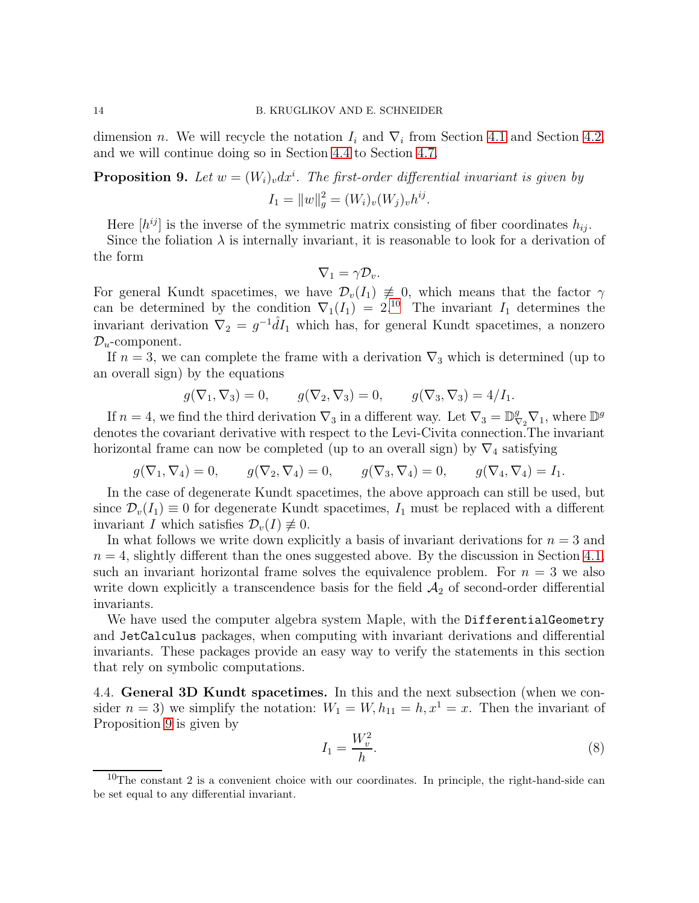dimension *n*. We will recycle the notation  $I_i$  and  $\nabla_i$  from Section [4.1](#page-10-5) and Section [4.2,](#page-11-2) and we will continue doing so in Section [4.4](#page-13-0) to Section [4.7.](#page-17-0)

# <span id="page-13-2"></span>**Proposition 9.** Let  $w = (W_i)_v dx^i$ . The first-order differential invariant is given by  $I_1 = ||w||_g^2 = (W_i)_v(W_j)_v h^{ij}.$

Here  $[h^{ij}]$  is the inverse of the symmetric matrix consisting of fiber coordinates  $h_{ij}$ .

Since the foliation  $\lambda$  is internally invariant, it is reasonable to look for a derivation of the form

$$
\nabla_1=\gamma\mathcal{D}_v.
$$

For general Kundt spacetimes, we have  $\mathcal{D}_v(I_1) \neq 0$ , which means that the factor  $\gamma$ can be determined by the condition  $\nabla_1(I_1) = 2^{10}$  $\nabla_1(I_1) = 2^{10}$  $\nabla_1(I_1) = 2^{10}$ . The invariant  $I_1$  determines the invariant derivation  $\nabla_2 = g^{-1} \hat{d} I_1$  which has, for general Kundt spacetimes, a nonzero  $\mathcal{D}_u$ -component.

If  $n = 3$ , we can complete the frame with a derivation  $\nabla_3$  which is determined (up to an overall sign) by the equations

$$
g(\nabla_1, \nabla_3) = 0, \qquad g(\nabla_2, \nabla_3) = 0, \qquad g(\nabla_3, \nabla_3) = 4/I_1.
$$

If  $n = 4$ , we find the third derivation  $\nabla_3$  in a different way. Let  $\nabla_3 = \mathbb{D}_{\nabla_2}^g \nabla_1$ , where  $\mathbb{D}^g$ denotes the covariant derivative with respect to the Levi-Civita connection.The invariant horizontal frame can now be completed (up to an overall sign) by  $\nabla_4$  satisfying

$$
g(\nabla_1, \nabla_4) = 0,
$$
  $g(\nabla_2, \nabla_4) = 0,$   $g(\nabla_3, \nabla_4) = 0,$   $g(\nabla_4, \nabla_4) = I_1.$ 

In the case of degenerate Kundt spacetimes, the above approach can still be used, but since  $\mathcal{D}_v(I_1) \equiv 0$  for degenerate Kundt spacetimes,  $I_1$  must be replaced with a different invariant I which satisfies  $\mathcal{D}_v(I) \not\equiv 0$ .

In what follows we write down explicitly a basis of invariant derivations for  $n = 3$  and  $n = 4$ , slightly different than the ones suggested above. By the discussion in Section [4.1,](#page-10-5) such an invariant horizontal frame solves the equivalence problem. For  $n = 3$  we also write down explicitly a transcendence basis for the field  $A_2$  of second-order differential invariants.

We have used the computer algebra system Maple, with the DifferentialGeometry and JetCalculus packages, when computing with invariant derivations and differential invariants. These packages provide an easy way to verify the statements in this section that rely on symbolic computations.

<span id="page-13-0"></span>4.4. General 3D Kundt spacetimes. In this and the next subsection (when we consider  $n = 3$ ) we simplify the notation:  $W_1 = W, h_{11} = h, x^1 = x$ . Then the invariant of Proposition [9](#page-13-2) is given by

<span id="page-13-3"></span>
$$
I_1 = \frac{W_v^2}{h}.\tag{8}
$$

<span id="page-13-1"></span> $10$ The constant 2 is a convenient choice with our coordinates. In principle, the right-hand-side can be set equal to any differential invariant.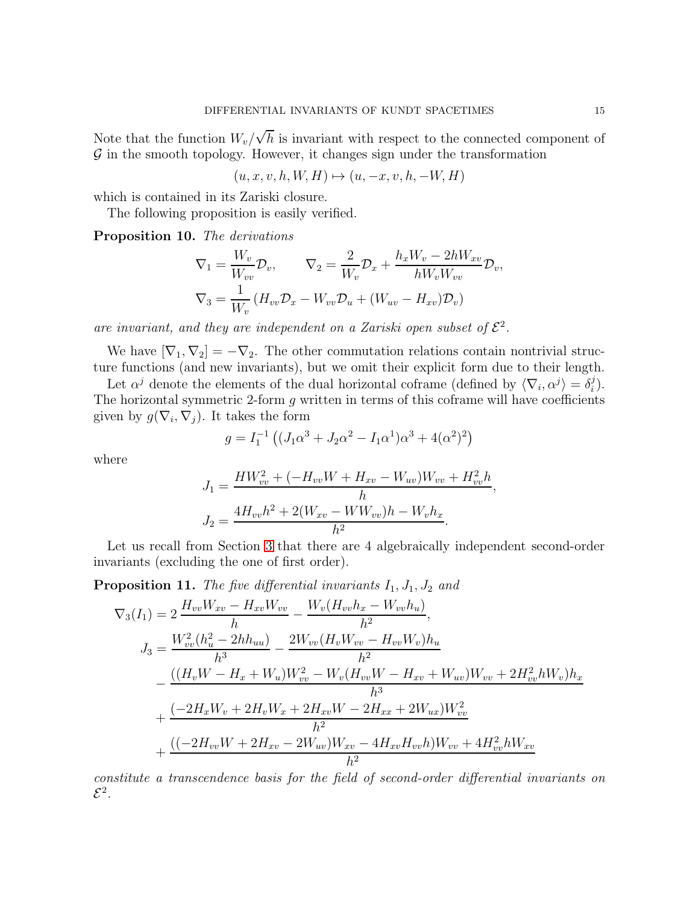Note that the function  $W_v/\sqrt{h}$  is invariant with respect to the connected component of  $\mathcal G$  in the smooth topology. However, it changes sign under the transformation

$$
(u, x, v, h, W, H) \mapsto (u, -x, v, h, -W, H)
$$

which is contained in its Zariski closure.

The following proposition is easily verified.

Proposition 10. The derivations

$$
\nabla_1 = \frac{W_v}{W_{vv}} \mathcal{D}_v, \qquad \nabla_2 = \frac{2}{W_v} \mathcal{D}_x + \frac{h_x W_v - 2hW_{xv}}{hW_v W_{vv}} \mathcal{D}_v,
$$

$$
\nabla_3 = \frac{1}{W_v} \left( H_{vv} \mathcal{D}_x - W_{vv} \mathcal{D}_u + (W_{uv} - H_{xv}) \mathcal{D}_v \right)
$$

are invariant, and they are independent on a Zariski open subset of  $\mathcal{E}^2$ .

We have  $[\nabla_1, \nabla_2] = -\nabla_2$ . The other commutation relations contain nontrivial structure functions (and new invariants), but we omit their explicit form due to their length.

Let  $\alpha^j$  denote the elements of the dual horizontal coframe (defined by  $\langle \nabla_i, \alpha^j \rangle = \delta_i^j$  $\binom{j}{i}$ . The horizontal symmetric 2-form  $g$  written in terms of this coframe will have coefficients given by  $g(\nabla_i, \nabla_j)$ . It takes the form

$$
g = I_1^{-1} ((J_1 \alpha^3 + J_2 \alpha^2 - I_1 \alpha^1) \alpha^3 + 4(\alpha^2)^2)
$$

where

$$
J_1 = \frac{HW_{vv}^2 + (-H_{vv}W + H_{xv} - W_{uv})W_{vv} + H_{vv}^2 h}{h},
$$
  

$$
J_2 = \frac{4H_{vv}h^2 + 2(W_{xv} - WW_{vv})h - W_vh_x}{h^2}.
$$

Let us recall from Section [3](#page-6-0) that there are 4 algebraically independent second-order invariants (excluding the one of first order).

**Proposition 11.** The five differential invariants  $I_1$ ,  $J_1$ ,  $J_2$  and

$$
\nabla_{3}(I_{1}) = 2 \frac{H_{vv}W_{xv} - H_{xv}W_{vv}}{h} - \frac{W_{v}(H_{vv}h_{x} - W_{vv}h_{u})}{h^{2}},
$$
  
\n
$$
J_{3} = \frac{W_{vv}^{2}(h_{u}^{2} - 2hh_{uu})}{h^{3}} - \frac{2W_{vv}(H_{v}W_{vv} - H_{vv}W_{v})h_{u}}{h^{2}} - \frac{((H_{v}W - H_{x} + W_{u})W_{vv}^{2} - W_{v}(H_{vv}W - H_{xv} + W_{uv})W_{vv} + 2H_{vv}^{2}hW_{v})h_{x}}{h^{3}} + \frac{(-2H_{x}W_{v} + 2H_{v}W_{x} + 2H_{xv}W - 2H_{xx} + 2W_{ux})W_{vv}^{2}}{h^{2}} + \frac{((-2H_{vv}W + 2H_{xv} - 2W_{uv})W_{xv} - 4H_{xv}H_{vv}h)W_{vv} + 4H_{vv}^{2}hW_{xv}}{h^{2}}
$$

constitute a transcendence basis for the field of second-order differential invariants on  $\mathcal{E}^2$ .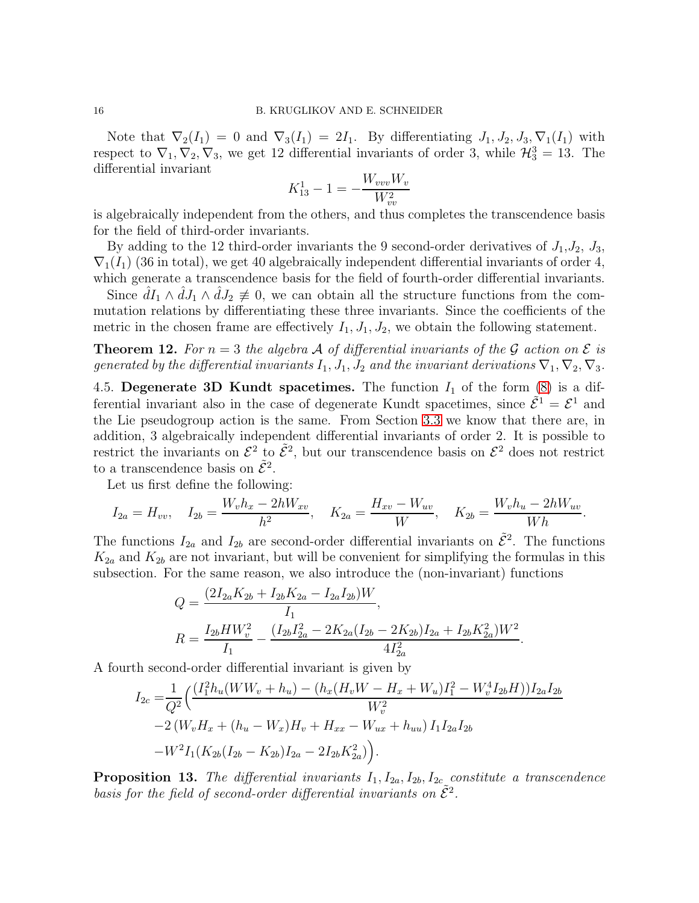Note that  $\nabla_2(I_1) = 0$  and  $\nabla_3(I_1) = 2I_1$ . By differentiating  $J_1, J_2, J_3, \nabla_1(I_1)$  with respect to  $\nabla_1, \nabla_2, \nabla_3$ , we get 12 differential invariants of order 3, while  $\mathcal{H}_3^3 = 13$ . The differential invariant

$$
K_{13}^1 - 1 = -\frac{W_{vvv}W_v}{W_{vv}^2}
$$

is algebraically independent from the others, and thus completes the transcendence basis for the field of third-order invariants.

By adding to the 12 third-order invariants the 9 second-order derivatives of  $J_1, J_2, J_3$ ,  $\nabla_1(I_1)$  (36 in total), we get 40 algebraically independent differential invariants of order 4, which generate a transcendence basis for the field of fourth-order differential invariants.

Since  $\hat{d}I_1 \wedge \hat{d}J_1 \wedge \hat{d}J_2 \neq 0$ , we can obtain all the structure functions from the commutation relations by differentiating these three invariants. Since the coefficients of the metric in the chosen frame are effectively  $I_1, J_1, J_2$ , we obtain the following statement.

**Theorem 12.** For  $n = 3$  the algebra A of differential invariants of the G action on  $\mathcal E$  is generated by the differential invariants  $I_1, J_1, J_2$  and the invariant derivations  $\nabla_1, \nabla_2, \nabla_3$ .

4.5. Degenerate 3D Kundt spacetimes. The function  $I_1$  of the form  $(8)$  is a differential invariant also in the case of degenerate Kundt spacetimes, since  $\tilde{\mathcal{E}}^1 = \mathcal{E}^1$  and the Lie pseudogroup action is the same. From Section [3.3](#page-8-0) we know that there are, in addition, 3 algebraically independent differential invariants of order 2. It is possible to restrict the invariants on  $\mathcal{E}^2$  to  $\tilde{\mathcal{E}}^2$ , but our transcendence basis on  $\mathcal{E}^2$  does not restrict to a transcendence basis on  $\tilde{\mathcal{E}}^2$ .

Let us first define the following:

$$
I_{2a} = H_{vv}, \quad I_{2b} = \frac{W_v h_x - 2hW_{xv}}{h^2}, \quad K_{2a} = \frac{H_{xv} - W_{uv}}{W}, \quad K_{2b} = \frac{W_v h_u - 2hW_{uv}}{Wh}.
$$

The functions  $I_{2a}$  and  $I_{2b}$  are second-order differential invariants on  $\tilde{E}^2$ . The functions  $K_{2a}$  and  $K_{2b}$  are not invariant, but will be convenient for simplifying the formulas in this subsection. For the same reason, we also introduce the (non-invariant) functions

$$
Q = \frac{(2I_{2a}K_{2b} + I_{2b}K_{2a} - I_{2a}I_{2b})W}{I_1},
$$
  
\n
$$
R = \frac{I_{2b}HW_v^2}{I_1} - \frac{(I_{2b}I_{2a}^2 - 2K_{2a}(I_{2b} - 2K_{2b})I_{2a} + I_{2b}K_{2a}^2)W^2}{4I_{2a}^2}.
$$

A fourth second-order differential invariant is given by

$$
I_{2c} = \frac{1}{Q^2} \Big( \frac{(I_1^2 h_u(WW_v + h_u) - (h_x(H_vW - H_x + W_u)I_1^2 - W_v^4 I_{2b}H))I_{2a}I_{2b}}{W_v^2}
$$
  
-2(W\_vH\_x + (h\_u - W\_x)H\_v + H\_{xx} - W\_{ux} + h\_{uu})I\_1I\_{2a}I\_{2b}  
-W^2I\_1(K\_{2b}(I\_{2b} - K\_{2b})I\_{2a} - 2I\_{2b}K\_{2a}^2)\Big).

**Proposition 13.** The differential invariants  $I_1, I_{2a}, I_{2b}, I_{2c}$  constitute a transcendence basis for the field of second-order differential invariants on  $\tilde{\mathcal{E}}^2$ .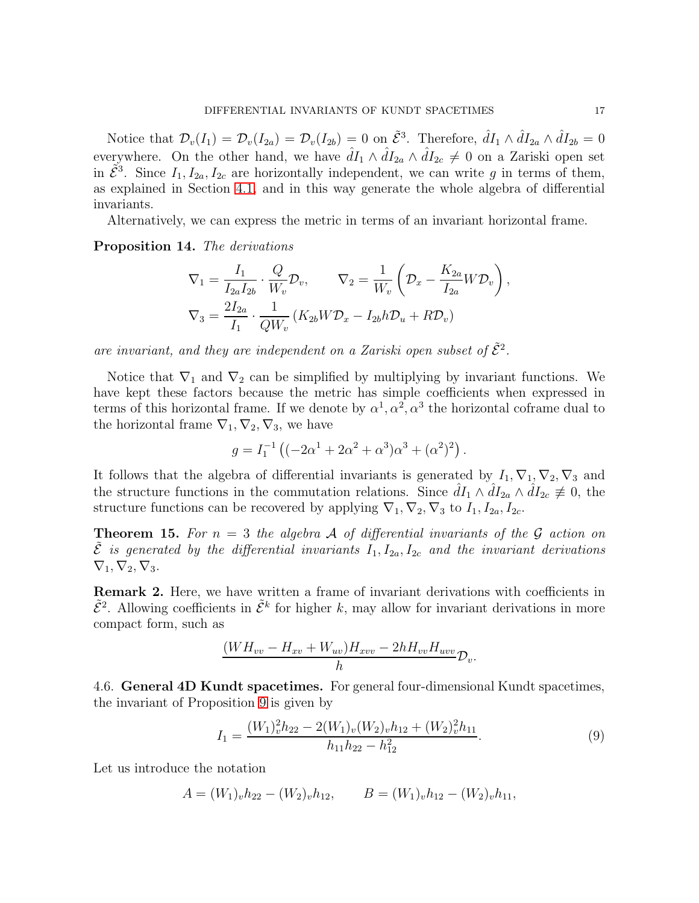Notice that  $\mathcal{D}_v(I_1) = \mathcal{D}_v(I_{2a}) = \mathcal{D}_v(I_{2b}) = 0$  on  $\tilde{\mathcal{E}}^3$ . Therefore,  $\hat{d}I_1 \wedge \hat{d}I_{2a} \wedge \hat{d}I_{2b} = 0$ everywhere. On the other hand, we have  $\hat{d}I_1 \wedge \hat{d}I_{2a} \wedge \hat{d}I_{2c} \neq 0$  on a Zariski open set in  $\tilde{\mathcal{E}}^3$ . Since  $I_1, I_{2a}, I_{2c}$  are horizontally independent, we can write g in terms of them, as explained in Section [4.1,](#page-10-5) and in this way generate the whole algebra of differential invariants.

Alternatively, we can express the metric in terms of an invariant horizontal frame.

Proposition 14. The derivations

$$
\nabla_1 = \frac{I_1}{I_{2a}I_{2b}} \cdot \frac{Q}{W_v} \mathcal{D}_v, \qquad \nabla_2 = \frac{1}{W_v} \left( \mathcal{D}_x - \frac{K_{2a}}{I_{2a}} W \mathcal{D}_v \right),
$$
  

$$
\nabla_3 = \frac{2I_{2a}}{I_1} \cdot \frac{1}{QW_v} \left( K_{2b} W \mathcal{D}_x - I_{2b} h \mathcal{D}_u + R \mathcal{D}_v \right)
$$

are invariant, and they are independent on a Zariski open subset of  $\tilde{\mathcal{E}}^2$ .

Notice that  $\nabla_1$  and  $\nabla_2$  can be simplified by multiplying by invariant functions. We have kept these factors because the metric has simple coefficients when expressed in terms of this horizontal frame. If we denote by  $\alpha^1, \alpha^2, \alpha^3$  the horizontal coframe dual to the horizontal frame  $\nabla_1, \nabla_2, \nabla_3$ , we have

$$
g = I_1^{-1} ((-2\alpha^1 + 2\alpha^2 + \alpha^3)\alpha^3 + (\alpha^2)^2).
$$

It follows that the algebra of differential invariants is generated by  $I_1, \nabla_1, \nabla_2, \nabla_3$  and the structure functions in the commutation relations. Since  $dI_1 \wedge dI_{2a} \wedge dI_{2c} \neq 0$ , the structure functions can be recovered by applying  $\nabla_1, \nabla_2, \nabla_3$  to  $I_1, I_{2a}, I_{2c}$ .

**Theorem 15.** For  $n = 3$  the algebra A of differential invariants of the G action on  $\tilde{\mathcal{E}}$  is generated by the differential invariants  $I_1, I_{2a}, I_{2c}$  and the invariant derivations  $\nabla_1, \nabla_2, \nabla_3.$ 

Remark 2. Here, we have written a frame of invariant derivations with coefficients in  $\tilde{\mathcal{E}}^2$ . Allowing coefficients in  $\tilde{\mathcal{E}}^k$  for higher k, may allow for invariant derivations in more compact form, such as

$$
\frac{(WH_{vv} - H_{xv} + W_{uv})H_{xvv} - 2hH_{vv}H_{uvv}}{h}\mathcal{D}_v.
$$

4.6. General 4D Kundt spacetimes. For general four-dimensional Kundt spacetimes, the invariant of Proposition [9](#page-13-2) is given by

$$
I_1 = \frac{(W_1)_{v}^{2}h_{22} - 2(W_1)_{v}(W_2)_{v}h_{12} + (W_2)_{v}^{2}h_{11}}{h_{11}h_{22} - h_{12}^{2}}.
$$
\n(9)

Let us introduce the notation

$$
A = (W_1)_v h_{22} - (W_2)_v h_{12}, \qquad B = (W_1)_v h_{12} - (W_2)_v h_{11},
$$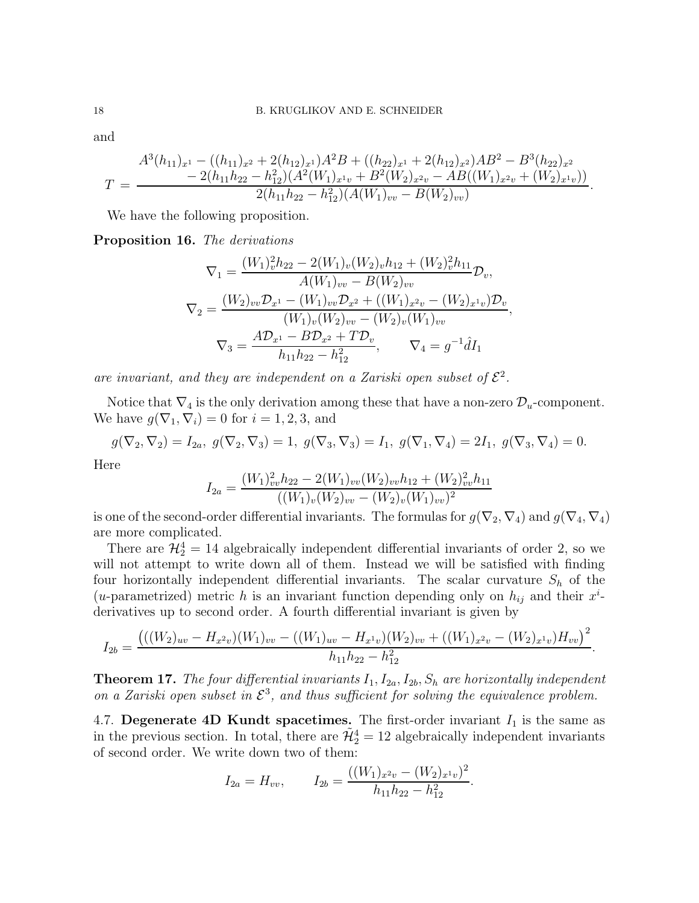and

$$
T = \frac{A^3(h_{11})_{x^1} - ((h_{11})_{x^2} + 2(h_{12})_{x^1})A^2B + ((h_{22})_{x^1} + 2(h_{12})_{x^2})AB^2 - B^3(h_{22})_{x^2}}{-2(h_{11}h_{22} - h_{12}^2)(A^2(W_1)_{x^1v} + B^2(W_2)_{x^2v} - AB((W_1)_{x^2v} + (W_2)_{x^1v}))}{2(h_{11}h_{22} - h_{12}^2)(A(W_1)_{vv} - B(W_2)_{vv})}.
$$

We have the following proposition.

Proposition 16. The derivations

$$
\nabla_1 = \frac{(W_1)_{v}^2 h_{22} - 2(W_1)_{v}(W_2)_{v} h_{12} + (W_2)_{v}^2 h_{11}}{A(W_1)_{vv} - B(W_2)_{vv}} \mathcal{D}_v,
$$
  

$$
\nabla_2 = \frac{(W_2)_{vv} \mathcal{D}_{x^1} - (W_1)_{vv} \mathcal{D}_{x^2} + ((W_1)_{x^2v} - (W_2)_{x^1v}) \mathcal{D}_v}{(W_1)_{v}(W_2)_{vv} - (W_2)_{v}(W_1)_{vv}},
$$
  

$$
\nabla_3 = \frac{A \mathcal{D}_{x^1} - B \mathcal{D}_{x^2} + T \mathcal{D}_v}{h_{11} h_{22} - h_{12}^2}, \qquad \nabla_4 = g^{-1} \hat{d} I_1
$$

are invariant, and they are independent on a Zariski open subset of  $\mathcal{E}^2$ .

Notice that  $\nabla_4$  is the only derivation among these that have a non-zero  $\mathcal{D}_u$ -component. We have  $g(\nabla_1, \nabla_i) = 0$  for  $i = 1, 2, 3$ , and

$$
g(\nabla_2, \nabla_2) = I_{2a}, g(\nabla_2, \nabla_3) = 1, g(\nabla_3, \nabla_3) = I_1, g(\nabla_1, \nabla_4) = 2I_1, g(\nabla_3, \nabla_4) = 0.
$$

Here

$$
I_{2a} = \frac{(W_1)_{vv}^2 h_{22} - 2(W_1)_{vv}(W_2)_{vv} h_{12} + (W_2)_{vv}^2 h_{11}}{((W_1)_v(W_2)_{vv} - (W_2)_v(W_1)_{vv})^2}
$$

is one of the second-order differential invariants. The formulas for  $g(\nabla_2, \nabla_4)$  and  $g(\nabla_4, \nabla_4)$ are more complicated.

There are  $\mathcal{H}_2^4 = 14$  algebraically independent differential invariants of order 2, so we will not attempt to write down all of them. Instead we will be satisfied with finding four horizontally independent differential invariants. The scalar curvature  $S_h$  of the (*u*-parametrized) metric h is an invariant function depending only on  $h_{ij}$  and their  $x^i$ derivatives up to second order. A fourth differential invariant is given by

$$
I_{2b} = \frac{(((W_2)_{uv} - H_{x^2v})(W_1)_{vv} - ((W_1)_{uv} - H_{x^1v})(W_2)_{vv} + ((W_1)_{x^2v} - (W_2)_{x^1v})H_{vv})^2}{h_{11}h_{22} - h_{12}^2}.
$$

**Theorem 17.** The four differential invariants  $I_1, I_{2a}, I_{2b}, S_h$  are horizontally independent on a Zariski open subset in  $\mathcal{E}^3$ , and thus sufficient for solving the equivalence problem.

<span id="page-17-0"></span>4.7. Degenerate 4D Kundt spacetimes. The first-order invariant  $I_1$  is the same as in the previous section. In total, there are  $\tilde{\mathcal{H}}_2^4 = 12$  algebraically independent invariants of second order. We write down two of them:

$$
I_{2a} = H_{vv}, \qquad I_{2b} = \frac{((W_1)_{x^2v} - (W_2)_{x^1v})^2}{h_{11}h_{22} - h_{12}^2}.
$$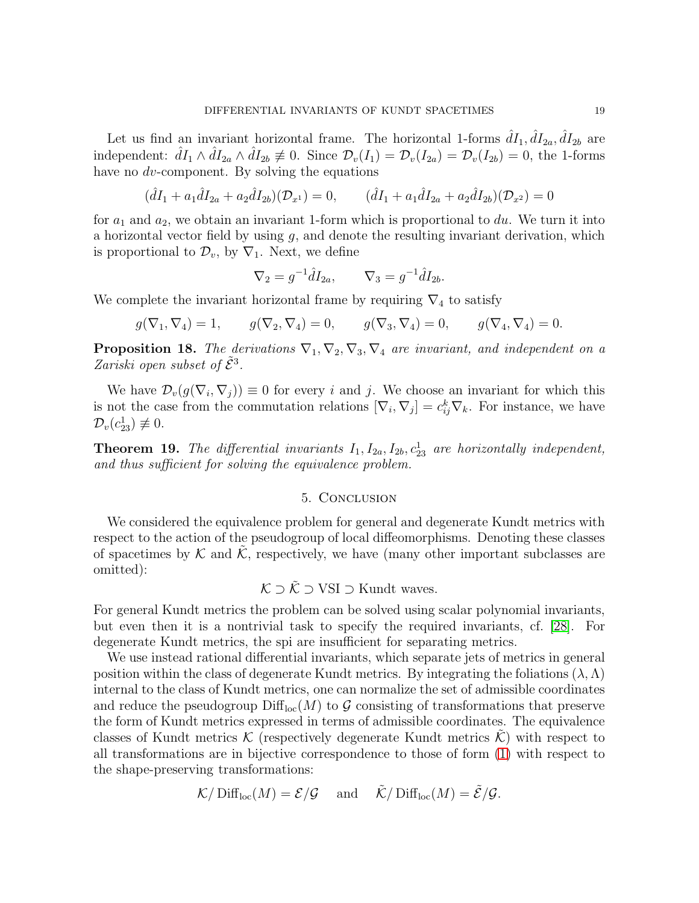Let us find an invariant horizontal frame. The horizontal 1-forms  $\hat{d}I_1, \hat{d}I_{2a}, \hat{d}I_{2b}$  are independent:  $\hat{dI}_1 \wedge \hat{dI}_{2a} \wedge \hat{dI}_{2b} \neq 0$ . Since  $\mathcal{D}_v(I_1) = \mathcal{D}_v(I_{2a}) = \mathcal{D}_v(I_{2b}) = 0$ , the 1-forms have no *dv*-component. By solving the equations

$$
(\hat{d}I_1 + a_1 \hat{d}I_{2a} + a_2 \hat{d}I_{2b})(\mathcal{D}_{x^1}) = 0, \qquad (\hat{d}I_1 + a_1 \hat{d}I_{2a} + a_2 \hat{d}I_{2b})(\mathcal{D}_{x^2}) = 0
$$

for  $a_1$  and  $a_2$ , we obtain an invariant 1-form which is proportional to du. We turn it into a horizontal vector field by using  $g$ , and denote the resulting invariant derivation, which is proportional to  $\mathcal{D}_v$ , by  $\nabla_1$ . Next, we define

$$
\nabla_2 = g^{-1} \hat{d} I_{2a}, \qquad \nabla_3 = g^{-1} \hat{d} I_{2b}.
$$

We complete the invariant horizontal frame by requiring  $\nabla_4$  to satisfy

$$
g(\nabla_1, \nabla_4) = 1,
$$
  $g(\nabla_2, \nabla_4) = 0,$   $g(\nabla_3, \nabla_4) = 0,$   $g(\nabla_4, \nabla_4) = 0.$ 

**Proposition 18.** The derivations  $\nabla_1, \nabla_2, \nabla_3, \nabla_4$  are invariant, and independent on a Zariski open subset of  $\tilde{\mathcal{E}}^3$ .

We have  $\mathcal{D}_{v}(g(\nabla_i, \nabla_j)) \equiv 0$  for every i and j. We choose an invariant for which this is not the case from the commutation relations  $[\nabla_i, \nabla_j] = c_{ij}^k \nabla_k$ . For instance, we have  $\mathcal{D}_v(c_{23}^1) \not\equiv 0.$ 

**Theorem 19.** The differential invariants  $I_1, I_{2a}, I_{2b}, c_{23}^1$  are horizontally independent, and thus sufficient for solving the equivalence problem.

#### 5. Conclusion

We considered the equivalence problem for general and degenerate Kundt metrics with respect to the action of the pseudogroup of local diffeomorphisms. Denoting these classes of spacetimes by  $K$  and  $K$ , respectively, we have (many other important subclasses are omitted):

$$
\mathcal{K} \supset \tilde{\mathcal{K}} \supset \text{VSI} \supset \text{Kundt waves}.
$$

For general Kundt metrics the problem can be solved using scalar polynomial invariants, but even then it is a nontrivial task to specify the required invariants, cf. [\[28\]](#page-22-10). For degenerate Kundt metrics, the spi are insufficient for separating metrics.

We use instead rational differential invariants, which separate jets of metrics in general position within the class of degenerate Kundt metrics. By integrating the foliations  $(\lambda, \Lambda)$ internal to the class of Kundt metrics, one can normalize the set of admissible coordinates and reduce the pseudogroup  $\text{Diff}_{loc}(M)$  to G consisting of transformations that preserve the form of Kundt metrics expressed in terms of admissible coordinates. The equivalence classes of Kundt metrics  $\mathcal K$  (respectively degenerate Kundt metrics  $\mathcal K$ ) with respect to all transformations are in bijective correspondence to those of form [\(1\)](#page-4-0) with respect to the shape-preserving transformations:

$$
\mathcal{K}/\text{Diff}_{loc}(M) = \mathcal{E}/\mathcal{G}
$$
 and  $\tilde{\mathcal{K}}/\text{Diff}_{loc}(M) = \tilde{\mathcal{E}}/\mathcal{G}$ .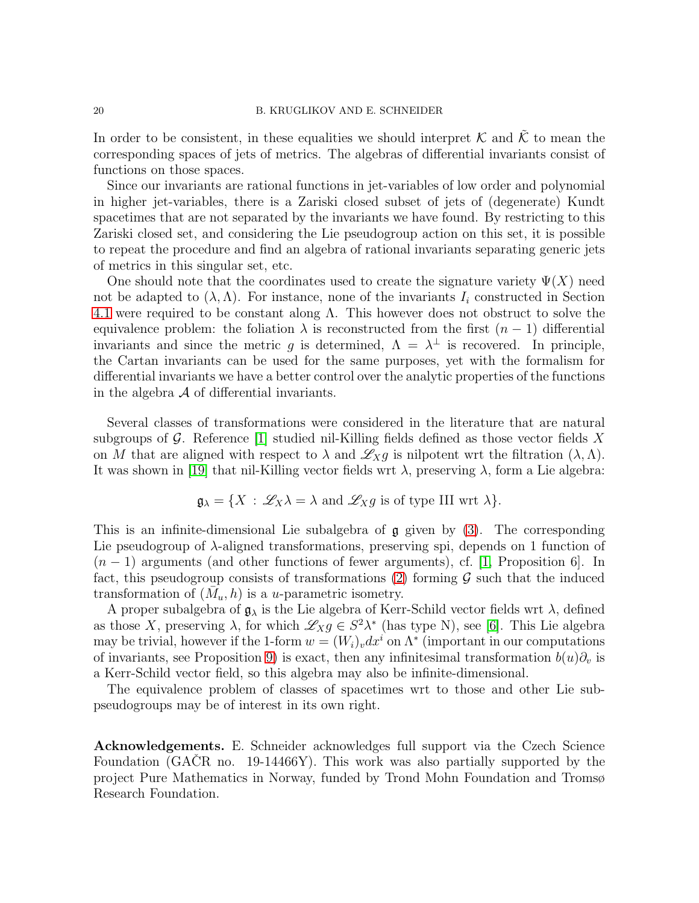In order to be consistent, in these equalities we should interpret  $\mathcal K$  and  $\tilde{\mathcal K}$  to mean the corresponding spaces of jets of metrics. The algebras of differential invariants consist of functions on those spaces.

Since our invariants are rational functions in jet-variables of low order and polynomial in higher jet-variables, there is a Zariski closed subset of jets of (degenerate) Kundt spacetimes that are not separated by the invariants we have found. By restricting to this Zariski closed set, and considering the Lie pseudogroup action on this set, it is possible to repeat the procedure and find an algebra of rational invariants separating generic jets of metrics in this singular set, etc.

One should note that the coordinates used to create the signature variety  $\Psi(X)$  need not be adapted to  $(\lambda, \Lambda)$ . For instance, none of the invariants  $I_i$  constructed in Section [4.1](#page-10-5) were required to be constant along  $\Lambda$ . This however does not obstruct to solve the equivalence problem: the foliation  $\lambda$  is reconstructed from the first  $(n-1)$  differential invariants and since the metric g is determined,  $\Lambda = \lambda^{\perp}$  is recovered. In principle, the Cartan invariants can be used for the same purposes, yet with the formalism for differential invariants we have a better control over the analytic properties of the functions in the algebra  $A$  of differential invariants.

Several classes of transformations were considered in the literature that are natural subgroups of  $\mathcal G$ . Reference [\[1\]](#page-21-3) studied nil-Killing fields defined as those vector fields X on M that are aligned with respect to  $\lambda$  and  $\mathscr{L}_X g$  is nilpotent wrt the filtration  $(\lambda, \Lambda)$ . It was shown in [\[19\]](#page-22-22) that nil-Killing vector fields wrt  $\lambda$ , preserving  $\lambda$ , form a Lie algebra:

$$
\mathfrak{g}_{\lambda} = \{ X : \mathscr{L}_X \lambda = \lambda \text{ and } \mathscr{L}_X g \text{ is of type III wrt } \lambda \}.
$$

This is an infinite-dimensional Lie subalgebra of  $\mathfrak g$  given by [\(3\)](#page-4-3). The corresponding Lie pseudogroup of  $\lambda$ -aligned transformations, preserving spi, depends on 1 function of  $(n-1)$  arguments (and other functions of fewer arguments), cf. [\[1,](#page-21-3) Proposition 6]. In fact, this pseudogroup consists of transformations [\(2\)](#page-4-4) forming  $\mathcal G$  such that the induced transformation of  $(\overline{M}_u, h)$  is a u-parametric isometry.

A proper subalgebra of  $\mathfrak{g}_{\lambda}$  is the Lie algebra of Kerr-Schild vector fields wrt  $\lambda$ , defined as those X, preserving  $\lambda$ , for which  $\mathscr{L}_X g \in S^2 \lambda^*$  (has type N), see [\[6\]](#page-22-23). This Lie algebra may be trivial, however if the 1-form  $w = (W_i)_v dx^i$  on  $\Lambda^*$  (important in our computations of invariants, see Proposition [9\)](#page-13-2) is exact, then any infinitesimal transformation  $b(u)\partial_v$  is a Kerr-Schild vector field, so this algebra may also be infinite-dimensional.

The equivalence problem of classes of spacetimes wrt to those and other Lie subpseudogroups may be of interest in its own right.

Acknowledgements. E. Schneider acknowledges full support via the Czech Science Foundation (GACR no. 19-14466Y). This work was also partially supported by the project Pure Mathematics in Norway, funded by Trond Mohn Foundation and Tromsø Research Foundation.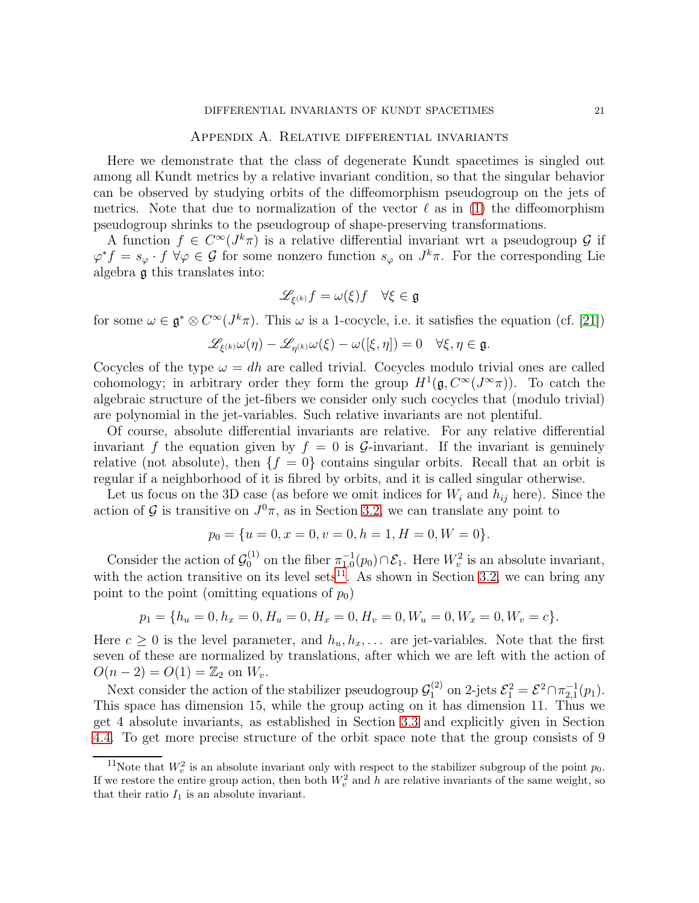#### Appendix A. Relative differential invariants

Here we demonstrate that the class of degenerate Kundt spacetimes is singled out among all Kundt metrics by a relative invariant condition, so that the singular behavior can be observed by studying orbits of the diffeomorphism pseudogroup on the jets of metrics. Note that due to normalization of the vector  $\ell$  as in [\(1\)](#page-4-0) the diffeomorphism pseudogroup shrinks to the pseudogroup of shape-preserving transformations.

A function  $f \in C^{\infty}(J^k \pi)$  is a relative differential invariant wrt a pseudogroup  $\mathcal{G}$  if  $\varphi^* f = s_{\varphi} \cdot f \ \forall \varphi \in \mathcal{G}$  for some nonzero function  $s_{\varphi}$  on  $J^k \pi$ . For the corresponding Lie algebra g this translates into:

$$
\mathscr{L}_{\xi^{(k)}} f = \omega(\xi) f \quad \forall \xi \in \mathfrak{g}
$$

for some  $\omega \in \mathfrak{g}^* \otimes C^{\infty}(J^k\pi)$ . This  $\omega$  is a 1-cocycle, i.e. it satisfies the equation (cf. [\[21\]](#page-22-18))

$$
\mathscr{L}_{\xi^{(k)}}\omega(\eta)-\mathscr{L}_{\eta^{(k)}}\omega(\xi)-\omega([\xi,\eta])=0\quad\forall\xi,\eta\in\mathfrak{g}.
$$

Cocycles of the type  $\omega = dh$  are called trivial. Cocycles modulo trivial ones are called cohomology; in arbitrary order they form the group  $H^1(\mathfrak{g}, C^{\infty}(J^{\infty}\pi))$ . To catch the algebraic structure of the jet-fibers we consider only such cocycles that (modulo trivial) are polynomial in the jet-variables. Such relative invariants are not plentiful.

Of course, absolute differential invariants are relative. For any relative differential invariant f the equation given by  $f = 0$  is G-invariant. If the invariant is genuinely relative (not absolute), then  $\{f = 0\}$  contains singular orbits. Recall that an orbit is regular if a neighborhood of it is fibred by orbits, and it is called singular otherwise.

Let us focus on the 3D case (as before we omit indices for  $W_i$  and  $h_{ij}$  here). Since the action of  $\mathcal G$  is transitive on  $J^0\pi$ , as in Section [3.2,](#page-7-1) we can translate any point to

$$
p_0 = \{u = 0, x = 0, v = 0, h = 1, H = 0, W = 0\}.
$$

Consider the action of  $\mathcal{G}_0^{(1)}$ <sup>(1)</sup> on the fiber  $\pi_{1,0}^{-1}(p_0) \cap \mathcal{E}_1$ . Here  $W_v^2$  is an absolute invariant, with the action transitive on its level sets<sup>[11](#page-20-0)</sup>. As shown in Section [3.2,](#page-7-1) we can bring any point to the point (omitting equations of  $p_0$ )

$$
p_1 = \{h_u = 0, h_x = 0, H_u = 0, H_x = 0, H_v = 0, W_u = 0, W_x = 0, W_v = c\}.
$$

Here  $c \geq 0$  is the level parameter, and  $h_u, h_x, \ldots$  are jet-variables. Note that the first seven of these are normalized by translations, after which we are left with the action of  $O(n-2) = O(1) = \mathbb{Z}_2$  on  $W_v$ .

Next consider the action of the stabilizer pseudogroup  $\mathcal{G}_1^{(2)}$  on 2-jets  $\mathcal{E}_1^2 = \mathcal{E}^2 \cap \pi_{2,1}^{-1}(p_1)$ . This space has dimension 15, while the group acting on it has dimension 11. Thus we get 4 absolute invariants, as established in Section [3.3](#page-8-0) and explicitly given in Section [4.4.](#page-13-0) To get more precise structure of the orbit space note that the group consists of 9

<span id="page-20-0"></span><sup>&</sup>lt;sup>11</sup>Note that  $W_v^2$  is an absolute invariant only with respect to the stabilizer subgroup of the point  $p_0$ . If we restore the entire group action, then both  $W_v^2$  and h are relative invariants of the same weight, so that their ratio  $I_1$  is an absolute invariant.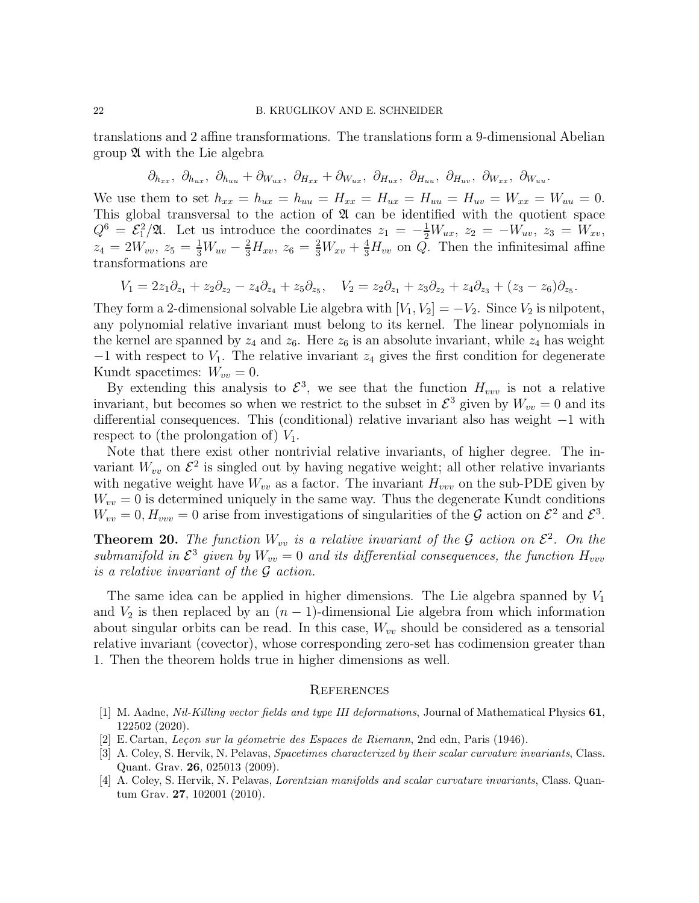translations and 2 affine transformations. The translations form a 9-dimensional Abelian group  $\mathfrak A$  with the Lie algebra

$$
\partial_{h_{xx}}, \; \partial_{h_{ux}}, \; \partial_{h_{uu}} + \partial_{W_{ux}}, \; \partial_{H_{xx}} + \partial_{W_{ux}}, \; \partial_{H_{ux}}, \; \partial_{H_{uu}}, \; \partial_{H_{uv}}, \; \partial_{W_{xx}}, \; \partial_{W_{uu}}.
$$

We use them to set  $h_{xx} = h_{ux} = h_{uu} = H_{xx} = H_{ux} = H_{uu} = H_{uv} = W_{xx} = W_{uu} = 0$ . This global transversal to the action of  $\mathfrak A$  can be identified with the quotient space  $Q^6 = \mathcal{E}_1^2/\mathfrak{A}$ . Let us introduce the coordinates  $z_1 = -\frac{1}{2}W_{ux}$ ,  $z_2 = -W_{uv}$ ,  $z_3 = W_{xv}$ ,  $z_4 = 2W_{vv}, z_5 = \frac{1}{3}W_{uv} - \frac{2}{3}H_{xv}, z_6 = \frac{2}{3}W_{xv} + \frac{4}{3}H_{vv}$  on Q. Then the infinitesimal affine transformations are

$$
V_1 = 2z_1\partial_{z_1} + z_2\partial_{z_2} - z_4\partial_{z_4} + z_5\partial_{z_5}, \quad V_2 = z_2\partial_{z_1} + z_3\partial_{z_2} + z_4\partial_{z_3} + (z_3 - z_6)\partial_{z_5}.
$$

They form a 2-dimensional solvable Lie algebra with  $[V_1, V_2] = -V_2$ . Since  $V_2$  is nilpotent, any polynomial relative invariant must belong to its kernel. The linear polynomials in the kernel are spanned by  $z_4$  and  $z_6$ . Here  $z_6$  is an absolute invariant, while  $z_4$  has weight  $-1$  with respect to  $V_1$ . The relative invariant  $z_4$  gives the first condition for degenerate Kundt spacetimes:  $W_{vv} = 0$ .

By extending this analysis to  $\mathcal{E}^3$ , we see that the function  $H_{vvv}$  is not a relative invariant, but becomes so when we restrict to the subset in  $\mathcal{E}^3$  given by  $W_{vv} = 0$  and its differential consequences. This (conditional) relative invariant also has weight −1 with respect to (the prolongation of)  $V_1$ .

Note that there exist other nontrivial relative invariants, of higher degree. The invariant  $W_{vv}$  on  $\mathcal{E}^2$  is singled out by having negative weight; all other relative invariants with negative weight have  $W_{vv}$  as a factor. The invariant  $H_{vvv}$  on the sub-PDE given by  $W_{vv} = 0$  is determined uniquely in the same way. Thus the degenerate Kundt conditions  $W_{vv} = 0, H_{vvv} = 0$  arise from investigations of singularities of the G action on  $\mathcal{E}^2$  and  $\mathcal{E}^3$ .

**Theorem 20.** The function  $W_{vv}$  is a relative invariant of the G action on  $\mathcal{E}^2$ . On the submanifold in  $\mathcal{E}^3$  given by  $W_{vv} = 0$  and its differential consequences, the function  $H_{vvv}$ is a relative invariant of the G action.

The same idea can be applied in higher dimensions. The Lie algebra spanned by  $V_1$ and  $V_2$  is then replaced by an  $(n-1)$ -dimensional Lie algebra from which information about singular orbits can be read. In this case,  $W_{vv}$  should be considered as a tensorial relative invariant (covector), whose corresponding zero-set has codimension greater than 1. Then the theorem holds true in higher dimensions as well.

#### **REFERENCES**

- <span id="page-21-3"></span>[1] M. Aadne, Nil-Killing vector fields and type III deformations, Journal of Mathematical Physics 61, 122502 (2020).
- <span id="page-21-1"></span><span id="page-21-0"></span>[2] E. Cartan, Leçon sur la géometrie des Espaces de Riemann, 2nd edn, Paris (1946).
- [3] A. Coley, S. Hervik, N. Pelavas, Spacetimes characterized by their scalar curvature invariants, Class. Quant. Grav. 26, 025013 (2009).
- <span id="page-21-2"></span>[4] A. Coley, S. Hervik, N. Pelavas, Lorentzian manifolds and scalar curvature invariants, Class. Quantum Grav. 27, 102001 (2010).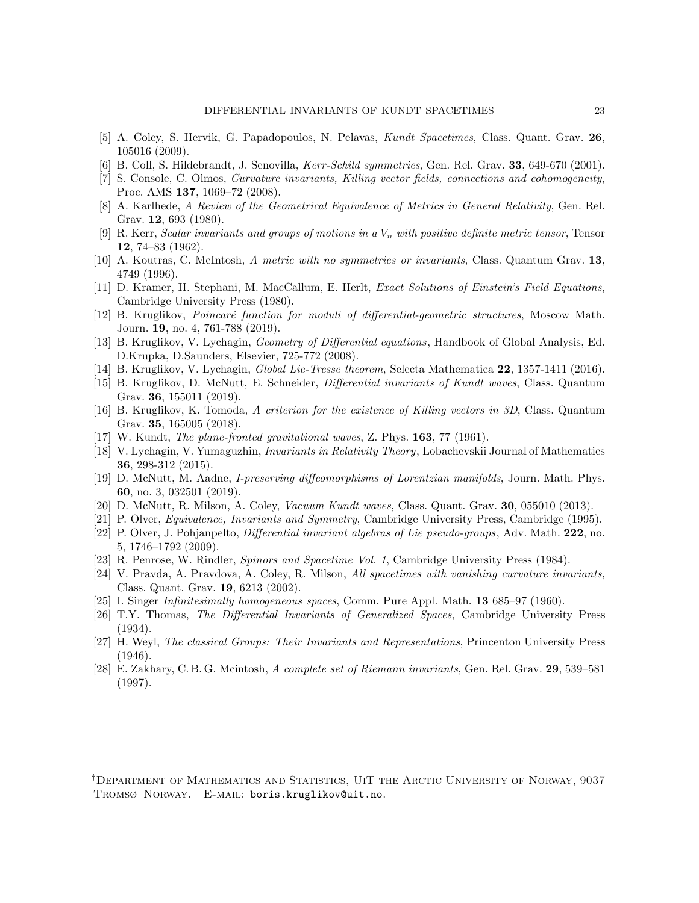- <span id="page-22-14"></span>[5] A. Coley, S. Hervik, G. Papadopoulos, N. Pelavas, Kundt Spacetimes, Class. Quant. Grav. 26, 105016 (2009).
- <span id="page-22-23"></span><span id="page-22-5"></span>[6] B. Coll, S. Hildebrandt, J. Senovilla, Kerr-Schild symmetries, Gen. Rel. Grav. 33, 649-670 (2001).
- [7] S. Console, C. Olmos, Curvature invariants, Killing vector fields, connections and cohomogeneity, Proc. AMS 137, 1069–72 (2008).
- <span id="page-22-7"></span>[8] A. Karlhede, A Review of the Geometrical Equivalence of Metrics in General Relativity, Gen. Rel. Grav. 12, 693 (1980).
- <span id="page-22-3"></span>[9] R. Kerr, Scalar invariants and groups of motions in a  $V_n$  with positive definite metric tensor, Tensor 12, 74–83 (1962).
- <span id="page-22-2"></span>[10] A. Koutras, C. McIntosh, A metric with no symmetries or invariants, Class. Quantum Grav. 13, 4749 (1996).
- <span id="page-22-9"></span>[11] D. Kramer, H. Stephani, M. MacCallum, E. Herlt, Exact Solutions of Einstein's Field Equations, Cambridge University Press (1980).
- <span id="page-22-21"></span>[12] B. Kruglikov, *Poincaré function for moduli of differential-geometric structures*, Moscow Math. Journ. 19, no. 4, 761-788 (2019).
- <span id="page-22-17"></span>[13] B. Kruglikov, V. Lychagin, Geometry of Differential equations, Handbook of Global Analysis, Ed. D.Krupka, D.Saunders, Elsevier, 725-772 (2008).
- <span id="page-22-16"></span><span id="page-22-12"></span>[14] B. Kruglikov, V. Lychagin, Global Lie-Tresse theorem, Selecta Mathematica 22, 1357-1411 (2016).
- [15] B. Kruglikov, D. McNutt, E. Schneider, Differential invariants of Kundt waves, Class. Quantum Grav. 36, 155011 (2019).
- <span id="page-22-6"></span>[16] B. Kruglikov, K. Tomoda, A criterion for the existence of Killing vectors in 3D, Class. Quantum Grav. 35, 165005 (2018).
- <span id="page-22-20"></span><span id="page-22-13"></span>[17] W. Kundt, *The plane-fronted gravitational waves*, Z. Phys. **163**, 77 (1961).
- [18] V. Lychagin, V. Yumaguzhin, Invariants in Relativity Theory, Lobachevskii Journal of Mathematics 36, 298-312 (2015).
- <span id="page-22-22"></span>[19] D. McNutt, M. Aadne, I-preserving diffeomorphisms of Lorentzian manifolds, Journ. Math. Phys. 60, no. 3, 032501 (2019).
- <span id="page-22-18"></span><span id="page-22-15"></span>[20] D. McNutt, R. Milson, A. Coley, Vacuum Kundt waves, Class. Quant. Grav. 30, 055010 (2013).
- <span id="page-22-19"></span>[21] P. Olver, Equivalence, Invariants and Symmetry, Cambridge University Press, Cambridge (1995).
- [22] P. Olver, J. Pohjanpelto, Differential invariant algebras of Lie pseudo-groups, Adv. Math. 222, no. 5, 1746–1792 (2009).
- <span id="page-22-8"></span><span id="page-22-1"></span>[23] R. Penrose, W. Rindler, Spinors and Spacetime Vol. 1, Cambridge University Press (1984).
- [24] V. Pravda, A. Pravdova, A. Coley, R. Milson, All spacetimes with vanishing curvature invariants, Class. Quant. Grav. 19, 6213 (2002).
- <span id="page-22-11"></span><span id="page-22-4"></span>[25] I. Singer *Infinitesimally homogeneous spaces*, Comm. Pure Appl. Math. **13** 685–97 (1960).
- [26] T.Y. Thomas, The Differential Invariants of Generalized Spaces, Cambridge University Press (1934).
- <span id="page-22-0"></span>[27] H. Weyl, The classical Groups: Their Invariants and Representations, Princenton University Press (1946).
- <span id="page-22-10"></span>[28] E. Zakhary, C. B. G. Mcintosh, A complete set of Riemann invariants, Gen. Rel. Grav. 29, 539–581 (1997).

<sup>†</sup>Department of Mathematics and Statistics, UiT the Arctic University of Norway, 9037 Tromsø Norway. E-mail: boris.kruglikov@uit.no.